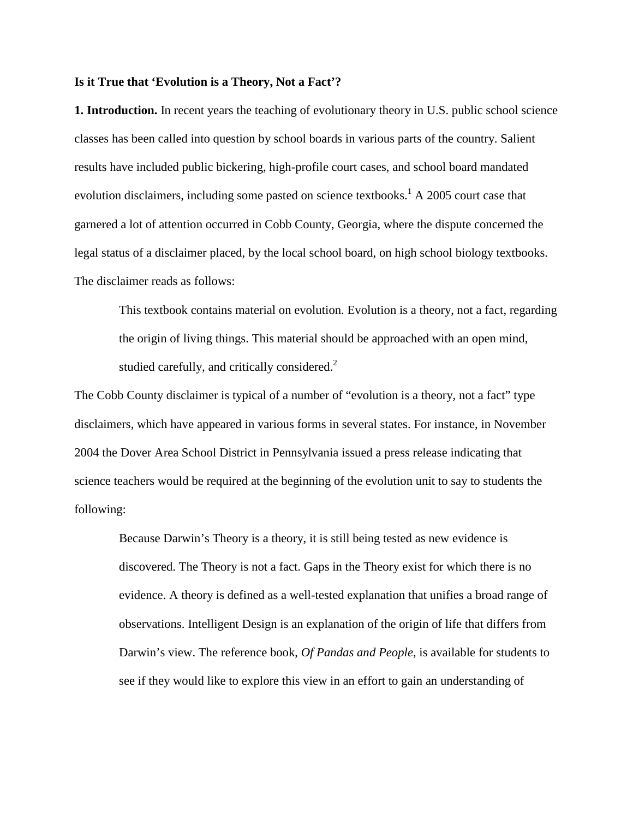## **Is it True that 'Evolution is a Theory, Not a Fact'?**

**1. Introduction.** In recent years the teaching of evolutionary theory in U.S. public school science classes has been called into question by school boards in various parts of the country. Salient results have included public bickering, high-profile court cases, and school board mandated evolution disclaimers, including some pasted on science textbooks.<sup>1</sup> A 2005 court case that garnered a lot of attention occurred in Cobb County, Georgia, where the dispute concerned the legal status of a disclaimer placed, by the local school board, on high school biology textbooks. The disclaimer reads as follows:

This textbook contains material on evolution. Evolution is a theory, not a fact, regarding the origin of living things. This material should be approached with an open mind, studied carefully, and critically considered. $2$ 

The Cobb County disclaimer is typical of a number of "evolution is a theory, not a fact" type disclaimers, which have appeared in various forms in several states. For instance, in November 2004 the Dover Area School District in Pennsylvania issued a press release indicating that science teachers would be required at the beginning of the evolution unit to say to students the following:

Because Darwin's Theory is a theory, it is still being tested as new evidence is discovered. The Theory is not a fact. Gaps in the Theory exist for which there is no evidence. A theory is defined as a well-tested explanation that unifies a broad range of observations. Intelligent Design is an explanation of the origin of life that differs from Darwin's view. The reference book, *Of Pandas and People*, is available for students to see if they would like to explore this view in an effort to gain an understanding of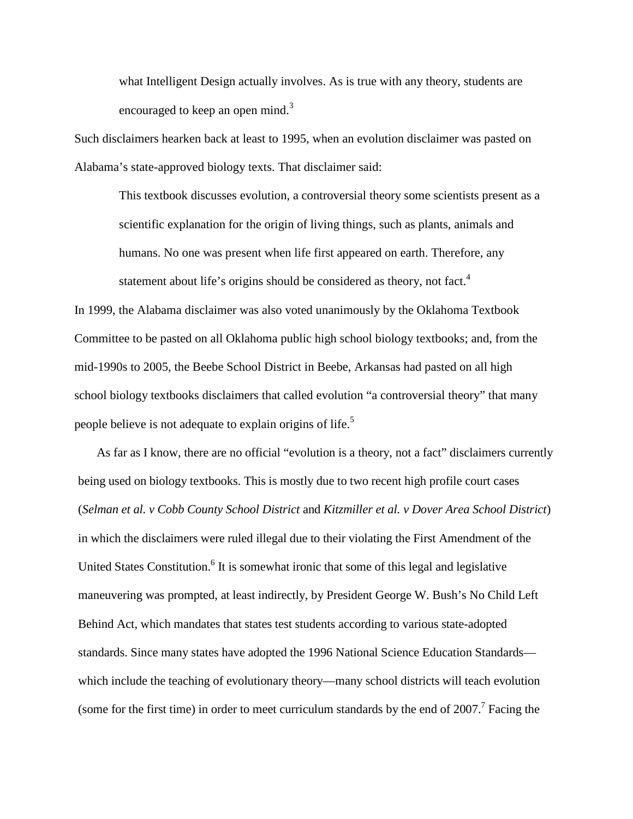what Intelligent Design actually involves. As is true with any theory, students are encouraged to keep an open mind.<sup>3</sup>

Such disclaimers hearken back at least to 1995, when an evolution disclaimer was pasted on Alabama's state-approved biology texts. That disclaimer said:

This textbook discusses evolution, a controversial theory some scientists present as a scientific explanation for the origin of living things, such as plants, animals and humans. No one was present when life first appeared on earth. Therefore, any statement about life's origins should be considered as theory, not fact.<sup>4</sup>

In 1999, the Alabama disclaimer was also voted unanimously by the Oklahoma Textbook Committee to be pasted on all Oklahoma public high school biology textbooks; and, from the mid-1990s to 2005, the Beebe School District in Beebe, Arkansas had pasted on all high school biology textbooks disclaimers that called evolution "a controversial theory" that many people believe is not adequate to explain origins of life.<sup>5</sup>

As far as I know, there are no official "evolution is a theory, not a fact" disclaimers currently being used on biology textbooks. This is mostly due to two recent high profile court cases (*Selman et al. v Cobb County School District* and *Kitzmiller et al. v Dover Area School District*) in which the disclaimers were ruled illegal due to their violating the First Amendment of the United States Constitution.<sup>6</sup> It is somewhat ironic that some of this legal and legislative maneuvering was prompted, at least indirectly, by President George W. Bush's No Child Left Behind Act, which mandates that states test students according to various state-adopted standards. Since many states have adopted the 1996 National Science Education Standards which include the teaching of evolutionary theory—many school districts will teach evolution (some for the first time) in order to meet curriculum standards by the end of  $2007$ .<sup>7</sup> Facing the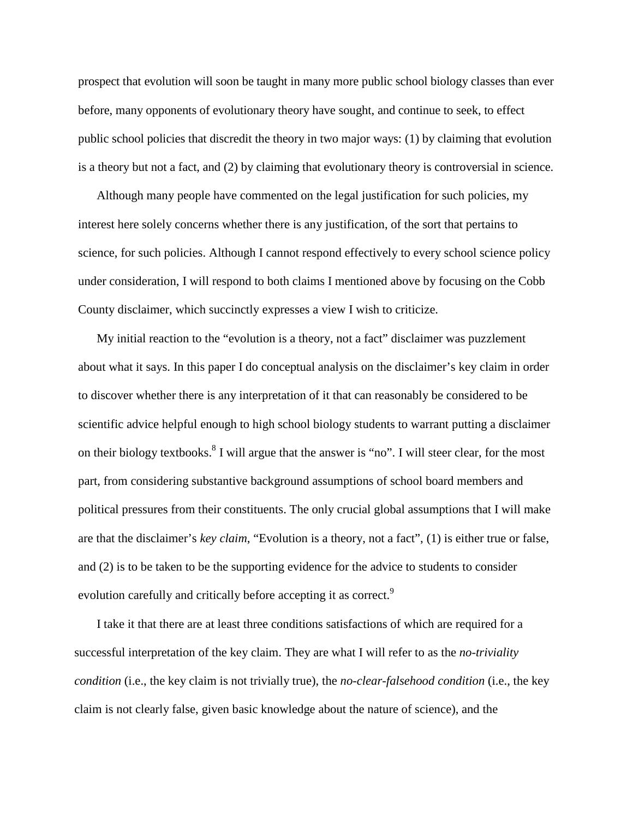prospect that evolution will soon be taught in many more public school biology classes than ever before, many opponents of evolutionary theory have sought, and continue to seek, to effect public school policies that discredit the theory in two major ways: (1) by claiming that evolution is a theory but not a fact, and (2) by claiming that evolutionary theory is controversial in science.

Although many people have commented on the legal justification for such policies, my interest here solely concerns whether there is any justification, of the sort that pertains to science, for such policies. Although I cannot respond effectively to every school science policy under consideration, I will respond to both claims I mentioned above by focusing on the Cobb County disclaimer, which succinctly expresses a view I wish to criticize.

My initial reaction to the "evolution is a theory, not a fact" disclaimer was puzzlement about what it says. In this paper I do conceptual analysis on the disclaimer's key claim in order to discover whether there is any interpretation of it that can reasonably be considered to be scientific advice helpful enough to high school biology students to warrant putting a disclaimer on their biology textbooks.<sup>8</sup> I will argue that the answer is "no". I will steer clear, for the most part, from considering substantive background assumptions of school board members and political pressures from their constituents. The only crucial global assumptions that I will make are that the disclaimer's *key claim*, "Evolution is a theory, not a fact", (1) is either true or false, and (2) is to be taken to be the supporting evidence for the advice to students to consider evolution carefully and critically before accepting it as correct.<sup>9</sup>

I take it that there are at least three conditions satisfactions of which are required for a successful interpretation of the key claim. They are what I will refer to as the *no-triviality condition* (i.e., the key claim is not trivially true), the *no-clear-falsehood condition* (i.e., the key claim is not clearly false, given basic knowledge about the nature of science), and the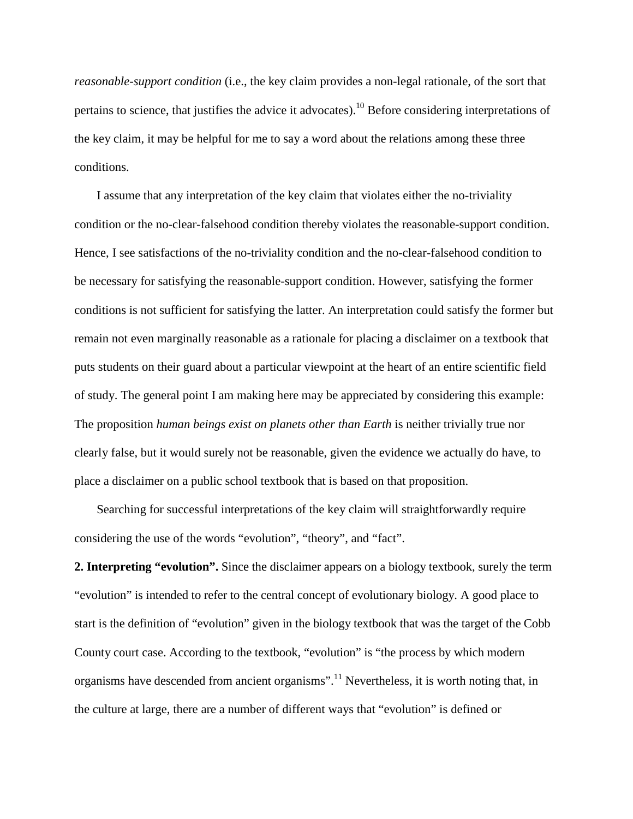*reasonable-support condition* (i.e., the key claim provides a non-legal rationale, of the sort that pertains to science, that justifies the advice it advocates).10 Before considering interpretations of the key claim, it may be helpful for me to say a word about the relations among these three conditions.

I assume that any interpretation of the key claim that violates either the no-triviality condition or the no-clear-falsehood condition thereby violates the reasonable-support condition. Hence, I see satisfactions of the no-triviality condition and the no-clear-falsehood condition to be necessary for satisfying the reasonable-support condition. However, satisfying the former conditions is not sufficient for satisfying the latter. An interpretation could satisfy the former but remain not even marginally reasonable as a rationale for placing a disclaimer on a textbook that puts students on their guard about a particular viewpoint at the heart of an entire scientific field of study. The general point I am making here may be appreciated by considering this example: The proposition *human beings exist on planets other than Earth* is neither trivially true nor clearly false, but it would surely not be reasonable, given the evidence we actually do have, to place a disclaimer on a public school textbook that is based on that proposition.

Searching for successful interpretations of the key claim will straightforwardly require considering the use of the words "evolution", "theory", and "fact".

**2. Interpreting "evolution".** Since the disclaimer appears on a biology textbook, surely the term "evolution" is intended to refer to the central concept of evolutionary biology. A good place to start is the definition of "evolution" given in the biology textbook that was the target of the Cobb County court case. According to the textbook, "evolution" is "the process by which modern organisms have descended from ancient organisms".<sup>11</sup> Nevertheless, it is worth noting that, in the culture at large, there are a number of different ways that "evolution" is defined or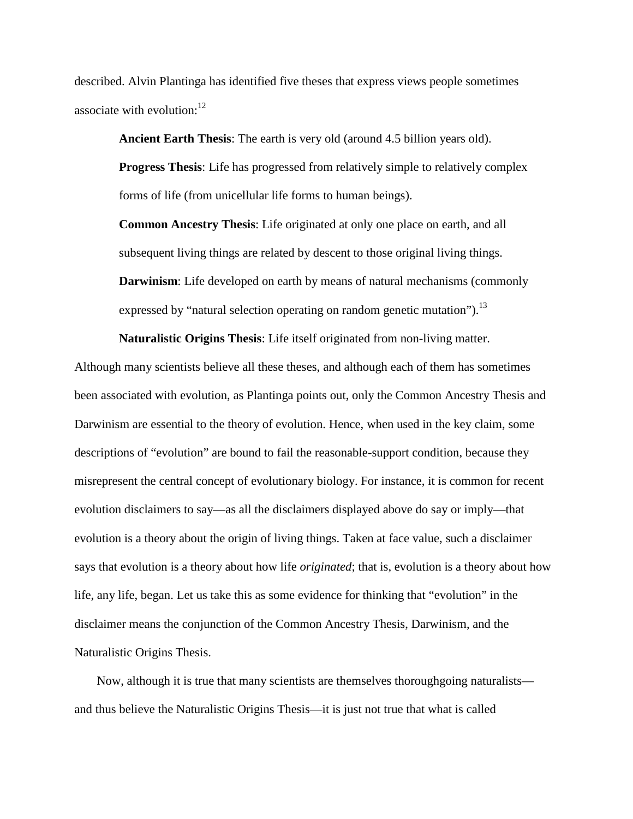described. Alvin Plantinga has identified five theses that express views people sometimes associate with evolution: $12$ 

**Ancient Earth Thesis**: The earth is very old (around 4.5 billion years old).

**Progress Thesis**: Life has progressed from relatively simple to relatively complex forms of life (from unicellular life forms to human beings).

**Common Ancestry Thesis**: Life originated at only one place on earth, and all subsequent living things are related by descent to those original living things. **Darwinism**: Life developed on earth by means of natural mechanisms (commonly expressed by "natural selection operating on random genetic mutation").<sup>13</sup>

**Naturalistic Origins Thesis**: Life itself originated from non-living matter.

Although many scientists believe all these theses, and although each of them has sometimes been associated with evolution, as Plantinga points out, only the Common Ancestry Thesis and Darwinism are essential to the theory of evolution. Hence, when used in the key claim, some descriptions of "evolution" are bound to fail the reasonable-support condition, because they misrepresent the central concept of evolutionary biology. For instance, it is common for recent evolution disclaimers to say—as all the disclaimers displayed above do say or imply—that evolution is a theory about the origin of living things. Taken at face value, such a disclaimer says that evolution is a theory about how life *originated*; that is, evolution is a theory about how life, any life, began. Let us take this as some evidence for thinking that "evolution" in the disclaimer means the conjunction of the Common Ancestry Thesis, Darwinism, and the Naturalistic Origins Thesis.

Now, although it is true that many scientists are themselves thoroughgoing naturalists and thus believe the Naturalistic Origins Thesis—it is just not true that what is called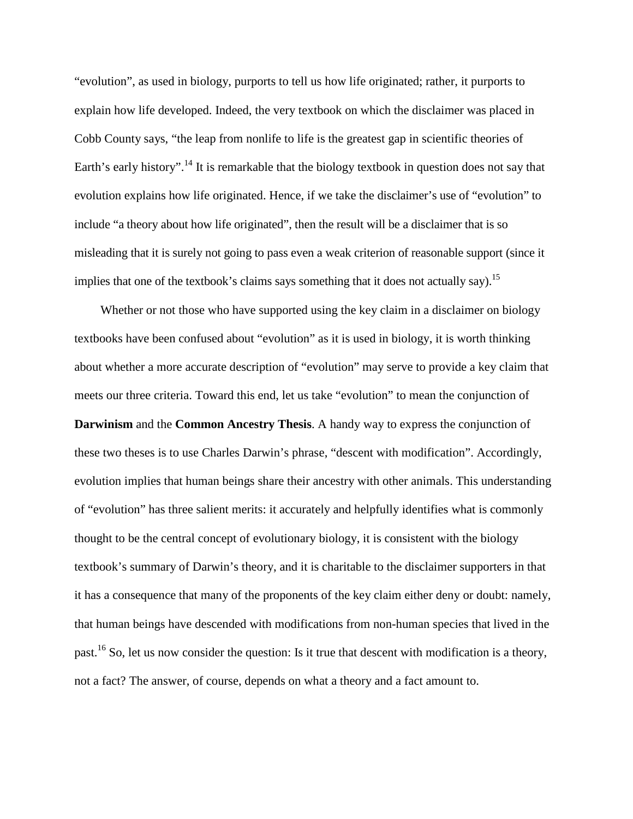"evolution", as used in biology, purports to tell us how life originated; rather, it purports to explain how life developed. Indeed, the very textbook on which the disclaimer was placed in Cobb County says, "the leap from nonlife to life is the greatest gap in scientific theories of Earth's early history".<sup>14</sup> It is remarkable that the biology textbook in question does not say that evolution explains how life originated. Hence, if we take the disclaimer's use of "evolution" to include "a theory about how life originated", then the result will be a disclaimer that is so misleading that it is surely not going to pass even a weak criterion of reasonable support (since it implies that one of the textbook's claims says something that it does not actually say).<sup>15</sup>

Whether or not those who have supported using the key claim in a disclaimer on biology textbooks have been confused about "evolution" as it is used in biology, it is worth thinking about whether a more accurate description of "evolution" may serve to provide a key claim that meets our three criteria. Toward this end, let us take "evolution" to mean the conjunction of **Darwinism** and the **Common Ancestry Thesis**. A handy way to express the conjunction of these two theses is to use Charles Darwin's phrase, "descent with modification". Accordingly, evolution implies that human beings share their ancestry with other animals. This understanding of "evolution" has three salient merits: it accurately and helpfully identifies what is commonly thought to be the central concept of evolutionary biology, it is consistent with the biology textbook's summary of Darwin's theory, and it is charitable to the disclaimer supporters in that it has a consequence that many of the proponents of the key claim either deny or doubt: namely, that human beings have descended with modifications from non-human species that lived in the past.16 So, let us now consider the question: Is it true that descent with modification is a theory, not a fact? The answer, of course, depends on what a theory and a fact amount to.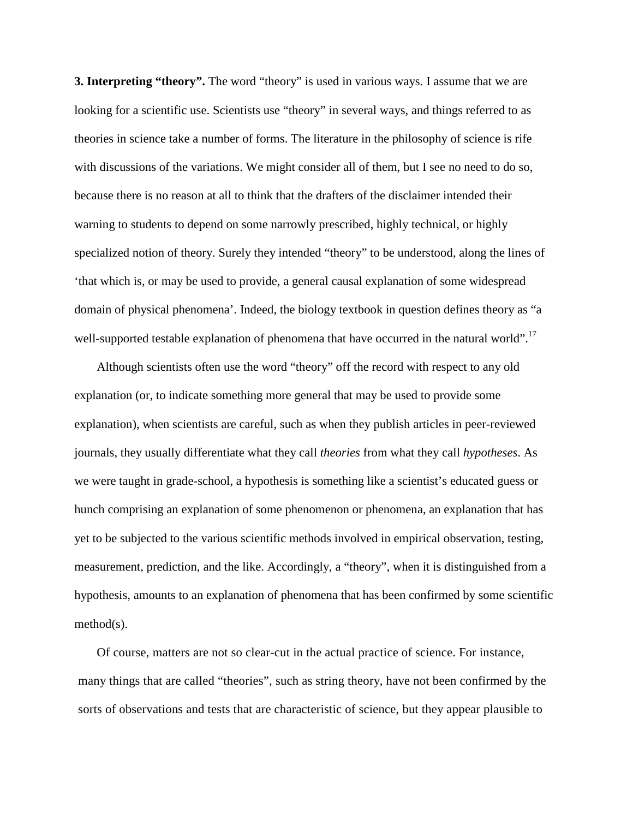**3. Interpreting "theory".** The word "theory" is used in various ways. I assume that we are looking for a scientific use. Scientists use "theory" in several ways, and things referred to as theories in science take a number of forms. The literature in the philosophy of science is rife with discussions of the variations. We might consider all of them, but I see no need to do so, because there is no reason at all to think that the drafters of the disclaimer intended their warning to students to depend on some narrowly prescribed, highly technical, or highly specialized notion of theory. Surely they intended "theory" to be understood, along the lines of 'that which is, or may be used to provide, a general causal explanation of some widespread domain of physical phenomena'. Indeed, the biology textbook in question defines theory as "a well-supported testable explanation of phenomena that have occurred in the natural world".<sup>17</sup>

Although scientists often use the word "theory" off the record with respect to any old explanation (or, to indicate something more general that may be used to provide some explanation), when scientists are careful, such as when they publish articles in peer-reviewed journals, they usually differentiate what they call *theories* from what they call *hypotheses*. As we were taught in grade-school, a hypothesis is something like a scientist's educated guess or hunch comprising an explanation of some phenomenon or phenomena, an explanation that has yet to be subjected to the various scientific methods involved in empirical observation, testing, measurement, prediction, and the like. Accordingly, a "theory", when it is distinguished from a hypothesis, amounts to an explanation of phenomena that has been confirmed by some scientific method(s).

Of course, matters are not so clear-cut in the actual practice of science. For instance, many things that are called "theories", such as string theory, have not been confirmed by the sorts of observations and tests that are characteristic of science, but they appear plausible to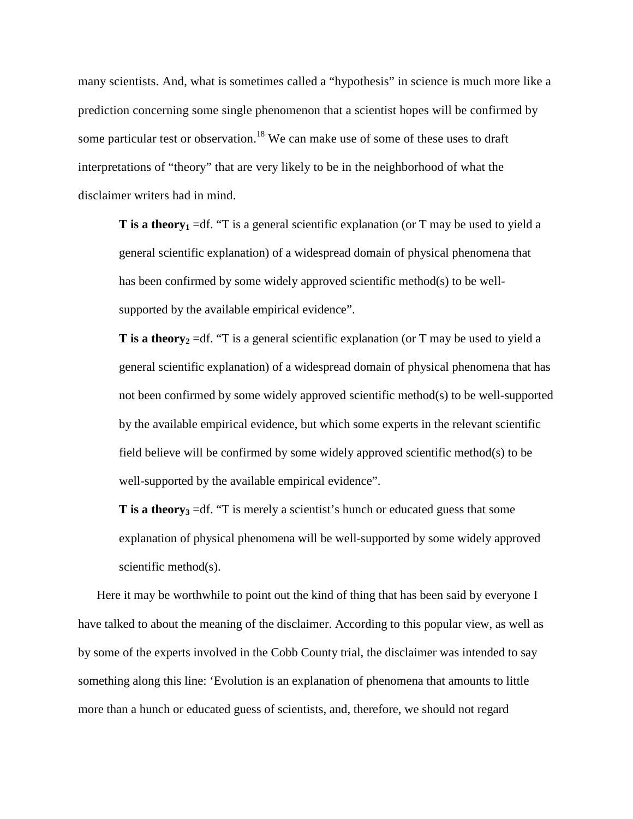many scientists. And, what is sometimes called a "hypothesis" in science is much more like a prediction concerning some single phenomenon that a scientist hopes will be confirmed by some particular test or observation.<sup>18</sup> We can make use of some of these uses to draft interpretations of "theory" that are very likely to be in the neighborhood of what the disclaimer writers had in mind.

**T** is a theory<sub>1</sub> =df. "T is a general scientific explanation (or T may be used to yield a general scientific explanation) of a widespread domain of physical phenomena that has been confirmed by some widely approved scientific method(s) to be wellsupported by the available empirical evidence".

**T** is a theory<sub>2</sub> =df. "T is a general scientific explanation (or T may be used to yield a general scientific explanation) of a widespread domain of physical phenomena that has not been confirmed by some widely approved scientific method(s) to be well-supported by the available empirical evidence, but which some experts in the relevant scientific field believe will be confirmed by some widely approved scientific method(s) to be well-supported by the available empirical evidence".

**T** is a theory<sub>3</sub> =df. "T is merely a scientist's hunch or educated guess that some explanation of physical phenomena will be well-supported by some widely approved scientific method(s).

Here it may be worthwhile to point out the kind of thing that has been said by everyone I have talked to about the meaning of the disclaimer. According to this popular view, as well as by some of the experts involved in the Cobb County trial, the disclaimer was intended to say something along this line: 'Evolution is an explanation of phenomena that amounts to little more than a hunch or educated guess of scientists, and, therefore, we should not regard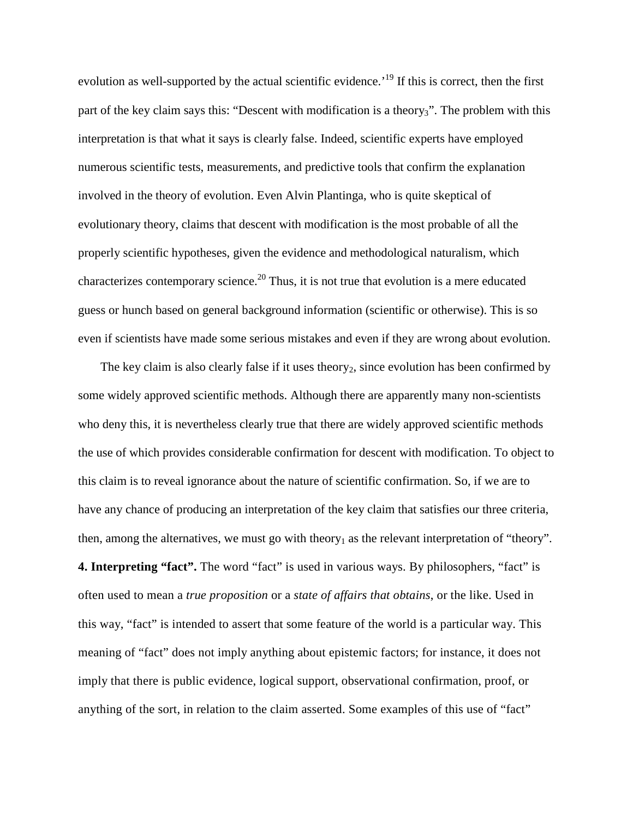evolution as well-supported by the actual scientific evidence.<sup>'19</sup> If this is correct, then the first part of the key claim says this: "Descent with modification is a theory<sub>3</sub>". The problem with this interpretation is that what it says is clearly false. Indeed, scientific experts have employed numerous scientific tests, measurements, and predictive tools that confirm the explanation involved in the theory of evolution. Even Alvin Plantinga, who is quite skeptical of evolutionary theory, claims that descent with modification is the most probable of all the properly scientific hypotheses, given the evidence and methodological naturalism, which characterizes contemporary science.<sup>20</sup> Thus, it is not true that evolution is a mere educated guess or hunch based on general background information (scientific or otherwise). This is so even if scientists have made some serious mistakes and even if they are wrong about evolution.

The key claim is also clearly false if it uses theory<sub>2</sub>, since evolution has been confirmed by some widely approved scientific methods. Although there are apparently many non-scientists who deny this, it is nevertheless clearly true that there are widely approved scientific methods the use of which provides considerable confirmation for descent with modification. To object to this claim is to reveal ignorance about the nature of scientific confirmation. So, if we are to have any chance of producing an interpretation of the key claim that satisfies our three criteria, then, among the alternatives, we must go with theory<sub>1</sub> as the relevant interpretation of "theory". **4. Interpreting "fact".** The word "fact" is used in various ways. By philosophers, "fact" is often used to mean a *true proposition* or a *state of affairs that obtains*, or the like. Used in this way, "fact" is intended to assert that some feature of the world is a particular way. This meaning of "fact" does not imply anything about epistemic factors; for instance, it does not imply that there is public evidence, logical support, observational confirmation, proof, or anything of the sort, in relation to the claim asserted. Some examples of this use of "fact"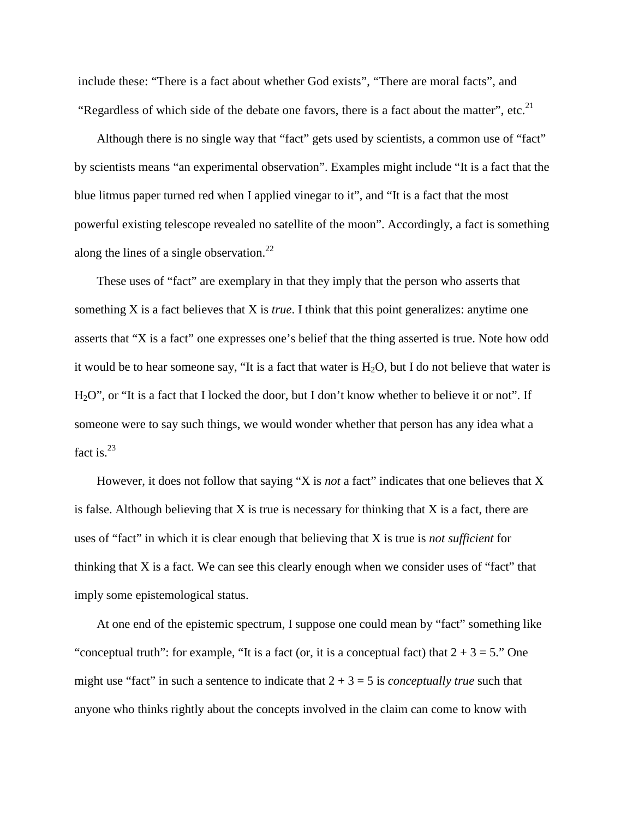include these: "There is a fact about whether God exists", "There are moral facts", and "Regardless of which side of the debate one favors, there is a fact about the matter", etc.<sup>21</sup>

Although there is no single way that "fact" gets used by scientists, a common use of "fact" by scientists means "an experimental observation". Examples might include "It is a fact that the blue litmus paper turned red when I applied vinegar to it", and "It is a fact that the most powerful existing telescope revealed no satellite of the moon". Accordingly, a fact is something along the lines of a single observation. $^{22}$ 

These uses of "fact" are exemplary in that they imply that the person who asserts that something X is a fact believes that X is *true*. I think that this point generalizes: anytime one asserts that "X is a fact" one expresses one's belief that the thing asserted is true. Note how odd it would be to hear someone say, "It is a fact that water is  $H_2O$ , but I do not believe that water is H<sub>2</sub>O", or "It is a fact that I locked the door, but I don't know whether to believe it or not". If someone were to say such things, we would wonder whether that person has any idea what a fact is. $^{23}$ 

However, it does not follow that saying "X is *not* a fact" indicates that one believes that X is false. Although believing that  $X$  is true is necessary for thinking that  $X$  is a fact, there are uses of "fact" in which it is clear enough that believing that X is true is *not sufficient* for thinking that X is a fact. We can see this clearly enough when we consider uses of "fact" that imply some epistemological status.

At one end of the epistemic spectrum, I suppose one could mean by "fact" something like "conceptual truth": for example, "It is a fact (or, it is a conceptual fact) that  $2 + 3 = 5$ ." One might use "fact" in such a sentence to indicate that  $2 + 3 = 5$  is *conceptually true* such that anyone who thinks rightly about the concepts involved in the claim can come to know with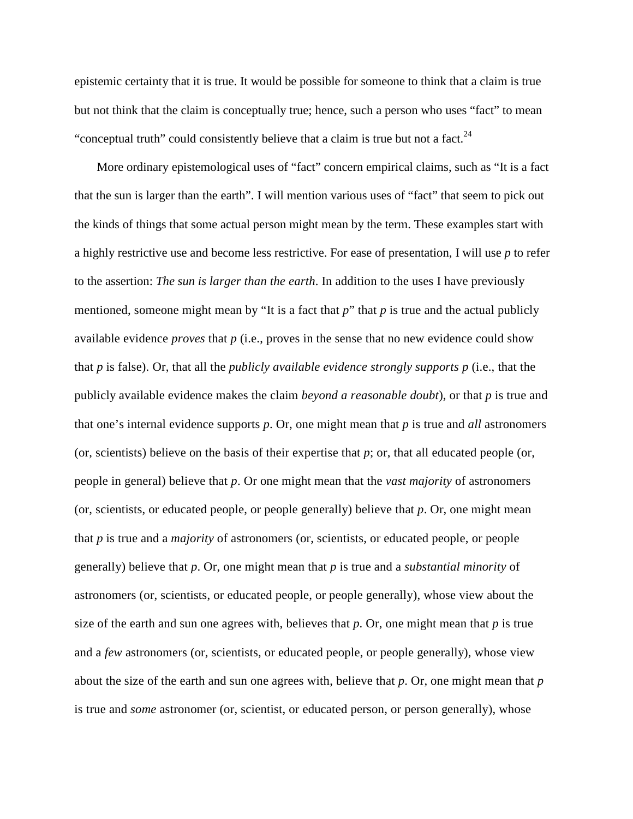epistemic certainty that it is true. It would be possible for someone to think that a claim is true but not think that the claim is conceptually true; hence, such a person who uses "fact" to mean "conceptual truth" could consistently believe that a claim is true but not a fact. $24$ 

More ordinary epistemological uses of "fact" concern empirical claims, such as "It is a fact that the sun is larger than the earth". I will mention various uses of "fact" that seem to pick out the kinds of things that some actual person might mean by the term. These examples start with a highly restrictive use and become less restrictive. For ease of presentation, I will use *p* to refer to the assertion: *The sun is larger than the earth*. In addition to the uses I have previously mentioned, someone might mean by "It is a fact that  $p$ " that  $p$  is true and the actual publicly available evidence *proves* that *p* (i.e., proves in the sense that no new evidence could show that *p* is false). Or, that all the *publicly available evidence strongly supports p* (i.e., that the publicly available evidence makes the claim *beyond a reasonable doubt*), or that *p* is true and that one's internal evidence supports *p*. Or, one might mean that *p* is true and *all* astronomers (or, scientists) believe on the basis of their expertise that  $p$ ; or, that all educated people (or, people in general) believe that *p*. Or one might mean that the *vast majority* of astronomers (or, scientists, or educated people, or people generally) believe that *p*. Or, one might mean that *p* is true and a *majority* of astronomers (or, scientists, or educated people, or people generally) believe that *p*. Or, one might mean that *p* is true and a *substantial minority* of astronomers (or, scientists, or educated people, or people generally), whose view about the size of the earth and sun one agrees with, believes that  $p$ . Or, one might mean that  $p$  is true and a *few* astronomers (or, scientists, or educated people, or people generally), whose view about the size of the earth and sun one agrees with, believe that *p*. Or, one might mean that *p*  is true and *some* astronomer (or, scientist, or educated person, or person generally), whose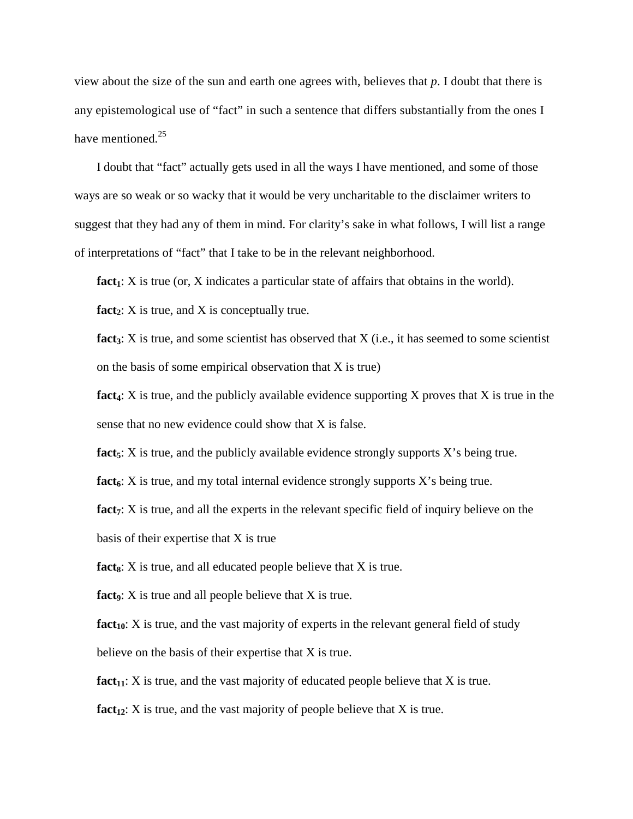view about the size of the sun and earth one agrees with, believes that *p*. I doubt that there is any epistemological use of "fact" in such a sentence that differs substantially from the ones I have mentioned. $^{25}$ 

I doubt that "fact" actually gets used in all the ways I have mentioned, and some of those ways are so weak or so wacky that it would be very uncharitable to the disclaimer writers to suggest that they had any of them in mind. For clarity's sake in what follows, I will list a range of interpretations of "fact" that I take to be in the relevant neighborhood.

**fact**<sub>1</sub>: X is true (or, X indicates a particular state of affairs that obtains in the world).

**fact**<sub>2</sub>:  $X$  is true, and  $X$  is conceptually true.

**fact**<sub>3</sub>: X is true, and some scientist has observed that X (i.e., it has seemed to some scientist on the basis of some empirical observation that X is true)

**fact**<sub>4</sub>: X is true, and the publicly available evidence supporting X proves that X is true in the sense that no new evidence could show that X is false.

**fact**<sub>5</sub>: X is true, and the publicly available evidence strongly supports X's being true.

**fact**<sup> $\epsilon$ </sup>: X is true, and my total internal evidence strongly supports X's being true.

**fact**<sub>7</sub>: X is true, and all the experts in the relevant specific field of inquiry believe on the basis of their expertise that X is true

**fact**<sub>8</sub>:  $X$  is true, and all educated people believe that  $X$  is true.

**fact**<sub>9</sub>: X is true and all people believe that X is true.

**fact**<sub>10</sub>: X is true, and the vast majority of experts in the relevant general field of study believe on the basis of their expertise that X is true.

**fact**<sub>11</sub>: X is true, and the vast majority of educated people believe that X is true.

**fact**<sub>12</sub>: X is true, and the vast majority of people believe that X is true.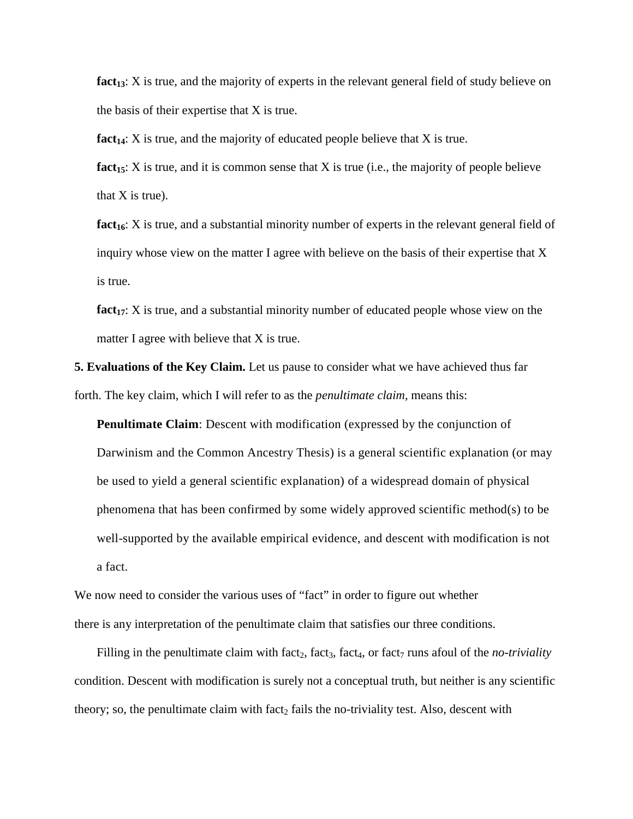fact<sub>13</sub>: X is true, and the majority of experts in the relevant general field of study believe on the basis of their expertise that X is true.

**fact**<sub>14</sub>: X is true, and the majority of educated people believe that X is true.

**fact**<sub>15</sub>: X is true, and it is common sense that X is true (i.e., the majority of people believe that  $X$  is true).

**fact**<sub>16</sub>: X is true, and a substantial minority number of experts in the relevant general field of inquiry whose view on the matter I agree with believe on the basis of their expertise that X is true.

**fact**<sub>17</sub>: X is true, and a substantial minority number of educated people whose view on the matter I agree with believe that X is true.

**5. Evaluations of the Key Claim.** Let us pause to consider what we have achieved thus far forth. The key claim, which I will refer to as the *penultimate claim*, means this:

**Penultimate Claim**: Descent with modification (expressed by the conjunction of Darwinism and the Common Ancestry Thesis) is a general scientific explanation (or may be used to yield a general scientific explanation) of a widespread domain of physical phenomena that has been confirmed by some widely approved scientific method(s) to be well-supported by the available empirical evidence, and descent with modification is not a fact.

We now need to consider the various uses of "fact" in order to figure out whether there is any interpretation of the penultimate claim that satisfies our three conditions.

Filling in the penultimate claim with fact<sub>2</sub>, fact<sub>3</sub>, fact<sub>4</sub>, or fact<sub>7</sub> runs afoul of the *no-triviality* condition. Descent with modification is surely not a conceptual truth, but neither is any scientific theory; so, the penultimate claim with fact, fails the no-triviality test. Also, descent with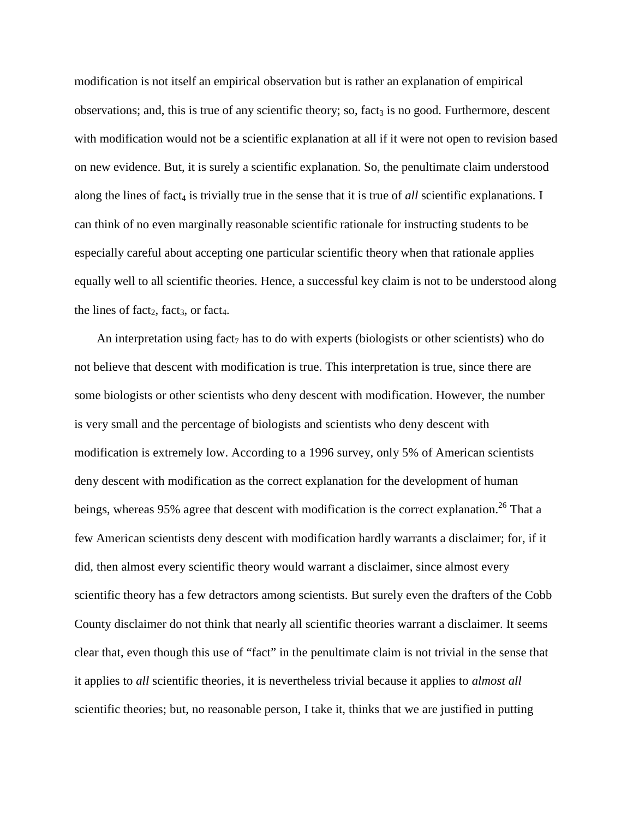modification is not itself an empirical observation but is rather an explanation of empirical observations; and, this is true of any scientific theory; so, fact<sub>3</sub> is no good. Furthermore, descent with modification would not be a scientific explanation at all if it were not open to revision based on new evidence. But, it is surely a scientific explanation. So, the penultimate claim understood along the lines of fact<sub>4</sub> is trivially true in the sense that it is true of *all* scientific explanations. I can think of no even marginally reasonable scientific rationale for instructing students to be especially careful about accepting one particular scientific theory when that rationale applies equally well to all scientific theories. Hence, a successful key claim is not to be understood along the lines of fact<sub>2</sub>, fact<sub>3</sub>, or fact<sub>4</sub>.

An interpretation using fact<sub>7</sub> has to do with experts (biologists or other scientists) who do not believe that descent with modification is true. This interpretation is true, since there are some biologists or other scientists who deny descent with modification. However, the number is very small and the percentage of biologists and scientists who deny descent with modification is extremely low. According to a 1996 survey, only 5% of American scientists deny descent with modification as the correct explanation for the development of human beings, whereas 95% agree that descent with modification is the correct explanation.<sup>26</sup> That a few American scientists deny descent with modification hardly warrants a disclaimer; for, if it did, then almost every scientific theory would warrant a disclaimer, since almost every scientific theory has a few detractors among scientists. But surely even the drafters of the Cobb County disclaimer do not think that nearly all scientific theories warrant a disclaimer. It seems clear that, even though this use of "fact" in the penultimate claim is not trivial in the sense that it applies to *all* scientific theories, it is nevertheless trivial because it applies to *almost all*  scientific theories; but, no reasonable person, I take it, thinks that we are justified in putting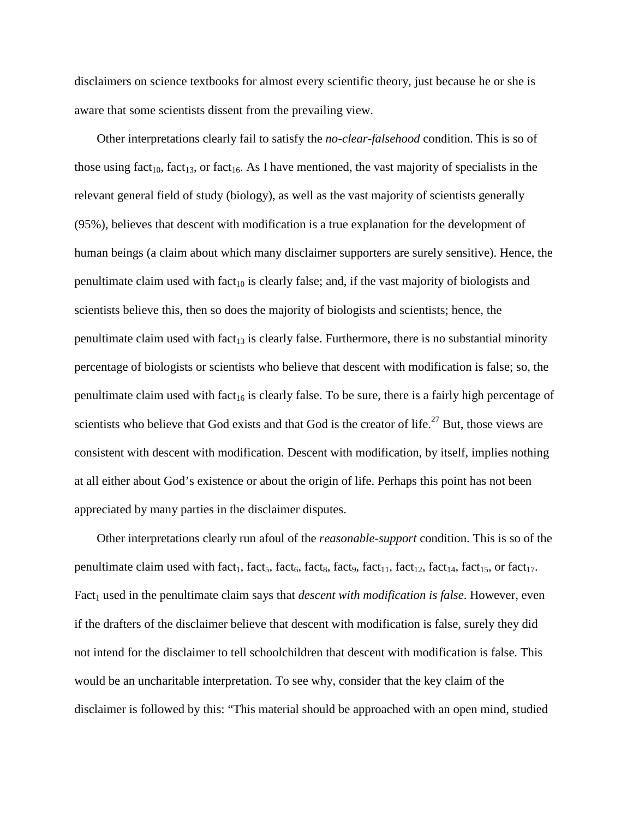disclaimers on science textbooks for almost every scientific theory, just because he or she is aware that some scientists dissent from the prevailing view.

Other interpretations clearly fail to satisfy the *no-clear-falsehood* condition. This is so of those using fact<sub>10</sub>, fact<sub>13</sub>, or fact<sub>16</sub>. As I have mentioned, the vast majority of specialists in the relevant general field of study (biology), as well as the vast majority of scientists generally (95%), believes that descent with modification is a true explanation for the development of human beings (a claim about which many disclaimer supporters are surely sensitive). Hence, the penultimate claim used with fact<sub>10</sub> is clearly false; and, if the vast majority of biologists and scientists believe this, then so does the majority of biologists and scientists; hence, the penultimate claim used with fact<sub>13</sub> is clearly false. Furthermore, there is no substantial minority percentage of biologists or scientists who believe that descent with modification is false; so, the penultimate claim used with fact<sub>16</sub> is clearly false. To be sure, there is a fairly high percentage of scientists who believe that God exists and that God is the creator of life. $27$  But, those views are consistent with descent with modification. Descent with modification, by itself, implies nothing at all either about God's existence or about the origin of life. Perhaps this point has not been appreciated by many parties in the disclaimer disputes.

Other interpretations clearly run afoul of the *reasonable-support* condition. This is so of the penultimate claim used with fact<sub>1</sub>, fact<sub>5</sub>, fact<sub>6</sub>, fact<sub>8</sub>, fact<sub>11</sub>, fact<sub>12</sub>, fact<sub>14</sub>, fact<sub>15</sub>, or fact<sub>17</sub>. Fact<sub>1</sub> used in the penultimate claim says that *descent with modification is false*. However, even if the drafters of the disclaimer believe that descent with modification is false, surely they did not intend for the disclaimer to tell schoolchildren that descent with modification is false. This would be an uncharitable interpretation. To see why, consider that the key claim of the disclaimer is followed by this: "This material should be approached with an open mind, studied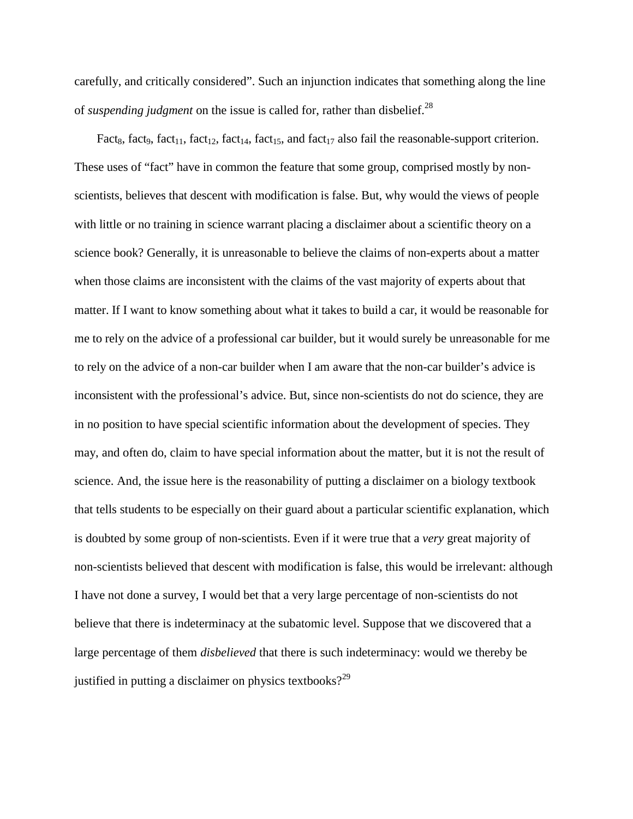carefully, and critically considered". Such an injunction indicates that something along the line of *suspending judgment* on the issue is called for, rather than disbelief.<sup>28</sup>

Fact<sub>8</sub>, fact<sub>9</sub>, fact<sub>11</sub>, fact<sub>12</sub>, fact<sub>14</sub>, fact<sub>15</sub>, and fact<sub>17</sub> also fail the reasonable-support criterion. These uses of "fact" have in common the feature that some group, comprised mostly by nonscientists, believes that descent with modification is false. But, why would the views of people with little or no training in science warrant placing a disclaimer about a scientific theory on a science book? Generally, it is unreasonable to believe the claims of non-experts about a matter when those claims are inconsistent with the claims of the vast majority of experts about that matter. If I want to know something about what it takes to build a car, it would be reasonable for me to rely on the advice of a professional car builder, but it would surely be unreasonable for me to rely on the advice of a non-car builder when I am aware that the non-car builder's advice is inconsistent with the professional's advice. But, since non-scientists do not do science, they are in no position to have special scientific information about the development of species. They may, and often do, claim to have special information about the matter, but it is not the result of science. And, the issue here is the reasonability of putting a disclaimer on a biology textbook that tells students to be especially on their guard about a particular scientific explanation, which is doubted by some group of non-scientists. Even if it were true that a *very* great majority of non-scientists believed that descent with modification is false, this would be irrelevant: although I have not done a survey, I would bet that a very large percentage of non-scientists do not believe that there is indeterminacy at the subatomic level. Suppose that we discovered that a large percentage of them *disbelieved* that there is such indeterminacy: would we thereby be justified in putting a disclaimer on physics textbooks? $2^2$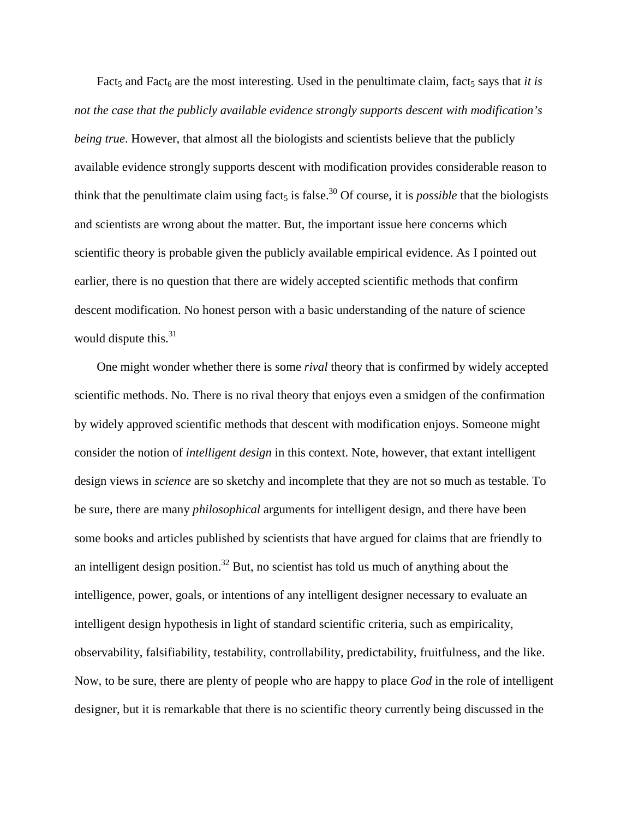Fact<sub>5</sub> and Fact<sub>6</sub> are the most interesting. Used in the penultimate claim, fact<sub>5</sub> says that *it is not the case that the publicly available evidence strongly supports descent with modification's being true*. However, that almost all the biologists and scientists believe that the publicly available evidence strongly supports descent with modification provides considerable reason to think that the penultimate claim using fact<sub>5</sub> is false.<sup>30</sup> Of course, it is *possible* that the biologists and scientists are wrong about the matter. But, the important issue here concerns which scientific theory is probable given the publicly available empirical evidence. As I pointed out earlier, there is no question that there are widely accepted scientific methods that confirm descent modification. No honest person with a basic understanding of the nature of science would dispute this.<sup>31</sup>

One might wonder whether there is some *rival* theory that is confirmed by widely accepted scientific methods. No. There is no rival theory that enjoys even a smidgen of the confirmation by widely approved scientific methods that descent with modification enjoys. Someone might consider the notion of *intelligent design* in this context. Note, however, that extant intelligent design views in *science* are so sketchy and incomplete that they are not so much as testable. To be sure, there are many *philosophical* arguments for intelligent design, and there have been some books and articles published by scientists that have argued for claims that are friendly to an intelligent design position.<sup>32</sup> But, no scientist has told us much of anything about the intelligence, power, goals, or intentions of any intelligent designer necessary to evaluate an intelligent design hypothesis in light of standard scientific criteria, such as empiricality, observability, falsifiability, testability, controllability, predictability, fruitfulness, and the like. Now, to be sure, there are plenty of people who are happy to place *God* in the role of intelligent designer, but it is remarkable that there is no scientific theory currently being discussed in the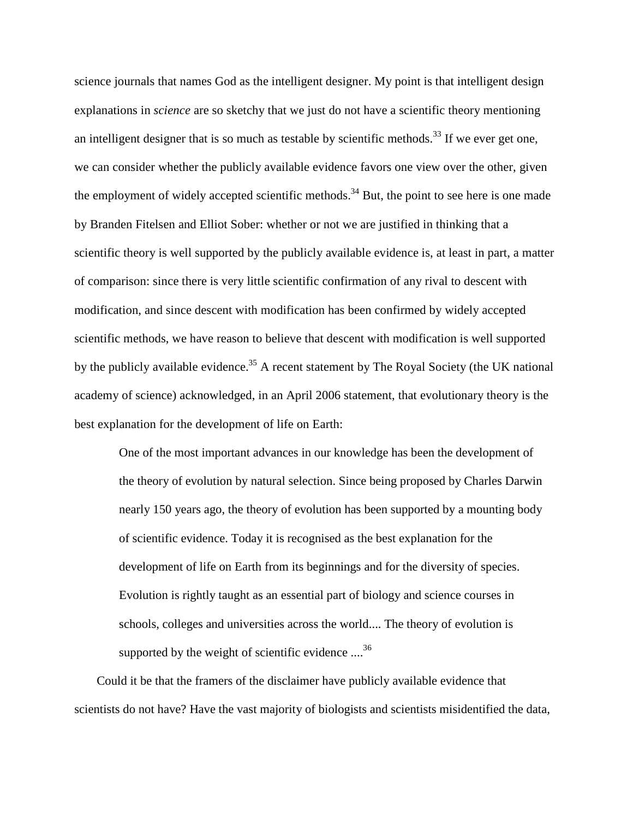science journals that names God as the intelligent designer. My point is that intelligent design explanations in *science* are so sketchy that we just do not have a scientific theory mentioning an intelligent designer that is so much as testable by scientific methods.<sup>33</sup> If we ever get one, we can consider whether the publicly available evidence favors one view over the other, given the employment of widely accepted scientific methods.<sup>34</sup> But, the point to see here is one made by Branden Fitelsen and Elliot Sober: whether or not we are justified in thinking that a scientific theory is well supported by the publicly available evidence is, at least in part, a matter of comparison: since there is very little scientific confirmation of any rival to descent with modification, and since descent with modification has been confirmed by widely accepted scientific methods, we have reason to believe that descent with modification is well supported by the publicly available evidence.<sup>35</sup> A recent statement by The Royal Society (the UK national academy of science) acknowledged, in an April 2006 statement, that evolutionary theory is the best explanation for the development of life on Earth:

One of the most important advances in our knowledge has been the development of the theory of evolution by natural selection. Since being proposed by Charles Darwin nearly 150 years ago, the theory of evolution has been supported by a mounting body of scientific evidence. Today it is recognised as the best explanation for the development of life on Earth from its beginnings and for the diversity of species. Evolution is rightly taught as an essential part of biology and science courses in schools, colleges and universities across the world.... The theory of evolution is supported by the weight of scientific evidence  $\ldots^{36}$ 

Could it be that the framers of the disclaimer have publicly available evidence that scientists do not have? Have the vast majority of biologists and scientists misidentified the data,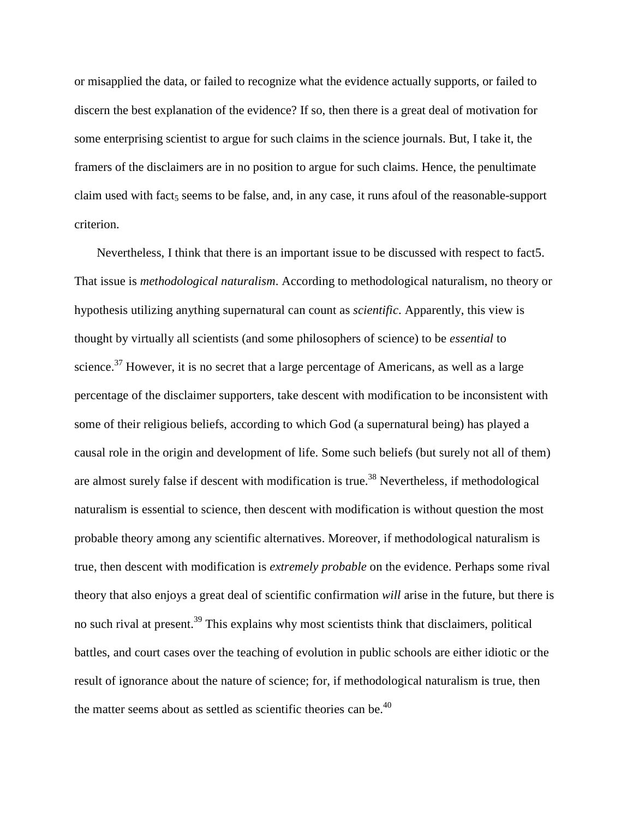or misapplied the data, or failed to recognize what the evidence actually supports, or failed to discern the best explanation of the evidence? If so, then there is a great deal of motivation for some enterprising scientist to argue for such claims in the science journals. But, I take it, the framers of the disclaimers are in no position to argue for such claims. Hence, the penultimate claim used with fact<sub>5</sub> seems to be false, and, in any case, it runs afoul of the reasonable-support criterion.

Nevertheless, I think that there is an important issue to be discussed with respect to fact5. That issue is *methodological naturalism*. According to methodological naturalism, no theory or hypothesis utilizing anything supernatural can count as *scientific*. Apparently, this view is thought by virtually all scientists (and some philosophers of science) to be *essential* to science. $37$  However, it is no secret that a large percentage of Americans, as well as a large percentage of the disclaimer supporters, take descent with modification to be inconsistent with some of their religious beliefs, according to which God (a supernatural being) has played a causal role in the origin and development of life. Some such beliefs (but surely not all of them) are almost surely false if descent with modification is true.<sup>38</sup> Nevertheless, if methodological naturalism is essential to science, then descent with modification is without question the most probable theory among any scientific alternatives. Moreover, if methodological naturalism is true, then descent with modification is *extremely probable* on the evidence. Perhaps some rival theory that also enjoys a great deal of scientific confirmation *will* arise in the future, but there is no such rival at present.<sup>39</sup> This explains why most scientists think that disclaimers, political battles, and court cases over the teaching of evolution in public schools are either idiotic or the result of ignorance about the nature of science; for, if methodological naturalism is true, then the matter seems about as settled as scientific theories can be. $40$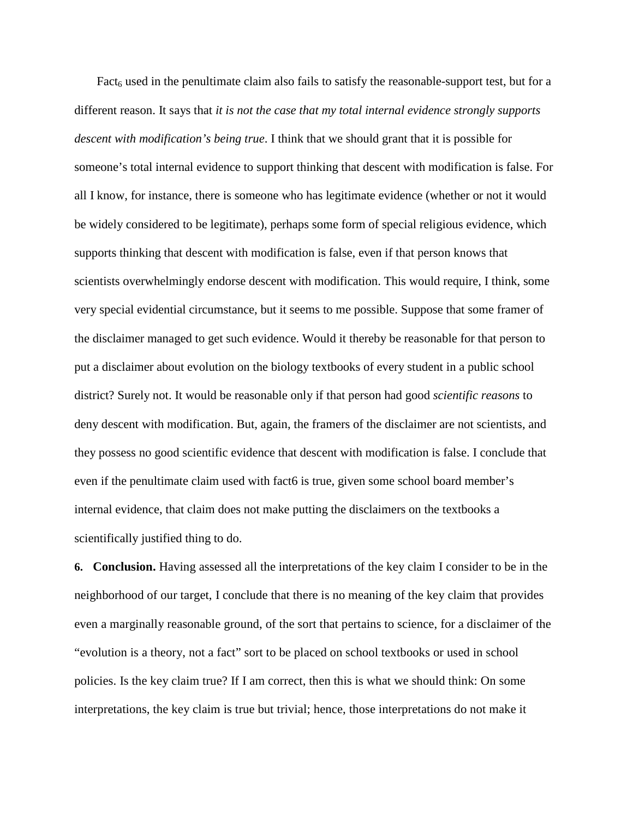Fact<sub>6</sub> used in the penultimate claim also fails to satisfy the reasonable-support test, but for a different reason. It says that *it is not the case that my total internal evidence strongly supports descent with modification's being true*. I think that we should grant that it is possible for someone's total internal evidence to support thinking that descent with modification is false. For all I know, for instance, there is someone who has legitimate evidence (whether or not it would be widely considered to be legitimate), perhaps some form of special religious evidence, which supports thinking that descent with modification is false, even if that person knows that scientists overwhelmingly endorse descent with modification. This would require, I think, some very special evidential circumstance, but it seems to me possible. Suppose that some framer of the disclaimer managed to get such evidence. Would it thereby be reasonable for that person to put a disclaimer about evolution on the biology textbooks of every student in a public school district? Surely not. It would be reasonable only if that person had good *scientific reasons* to deny descent with modification. But, again, the framers of the disclaimer are not scientists, and they possess no good scientific evidence that descent with modification is false. I conclude that even if the penultimate claim used with fact6 is true, given some school board member's internal evidence, that claim does not make putting the disclaimers on the textbooks a scientifically justified thing to do.

**6. Conclusion.** Having assessed all the interpretations of the key claim I consider to be in the neighborhood of our target, I conclude that there is no meaning of the key claim that provides even a marginally reasonable ground, of the sort that pertains to science, for a disclaimer of the "evolution is a theory, not a fact" sort to be placed on school textbooks or used in school policies. Is the key claim true? If I am correct, then this is what we should think: On some interpretations, the key claim is true but trivial; hence, those interpretations do not make it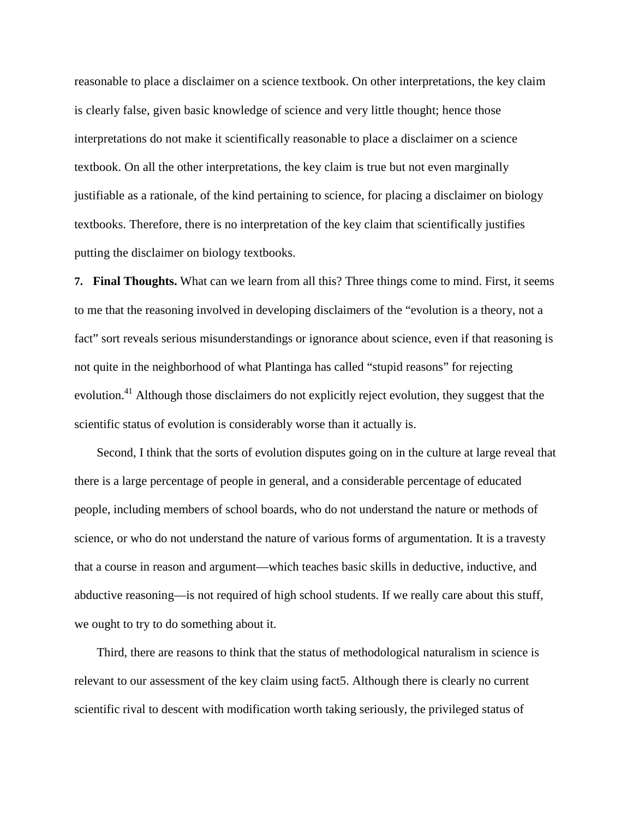reasonable to place a disclaimer on a science textbook. On other interpretations, the key claim is clearly false, given basic knowledge of science and very little thought; hence those interpretations do not make it scientifically reasonable to place a disclaimer on a science textbook. On all the other interpretations, the key claim is true but not even marginally justifiable as a rationale, of the kind pertaining to science, for placing a disclaimer on biology textbooks. Therefore, there is no interpretation of the key claim that scientifically justifies putting the disclaimer on biology textbooks.

**7. Final Thoughts.** What can we learn from all this? Three things come to mind. First, it seems to me that the reasoning involved in developing disclaimers of the "evolution is a theory, not a fact" sort reveals serious misunderstandings or ignorance about science, even if that reasoning is not quite in the neighborhood of what Plantinga has called "stupid reasons" for rejecting evolution.<sup>41</sup> Although those disclaimers do not explicitly reject evolution, they suggest that the scientific status of evolution is considerably worse than it actually is.

Second, I think that the sorts of evolution disputes going on in the culture at large reveal that there is a large percentage of people in general, and a considerable percentage of educated people, including members of school boards, who do not understand the nature or methods of science, or who do not understand the nature of various forms of argumentation. It is a travesty that a course in reason and argument—which teaches basic skills in deductive, inductive, and abductive reasoning—is not required of high school students. If we really care about this stuff, we ought to try to do something about it.

Third, there are reasons to think that the status of methodological naturalism in science is relevant to our assessment of the key claim using fact5. Although there is clearly no current scientific rival to descent with modification worth taking seriously, the privileged status of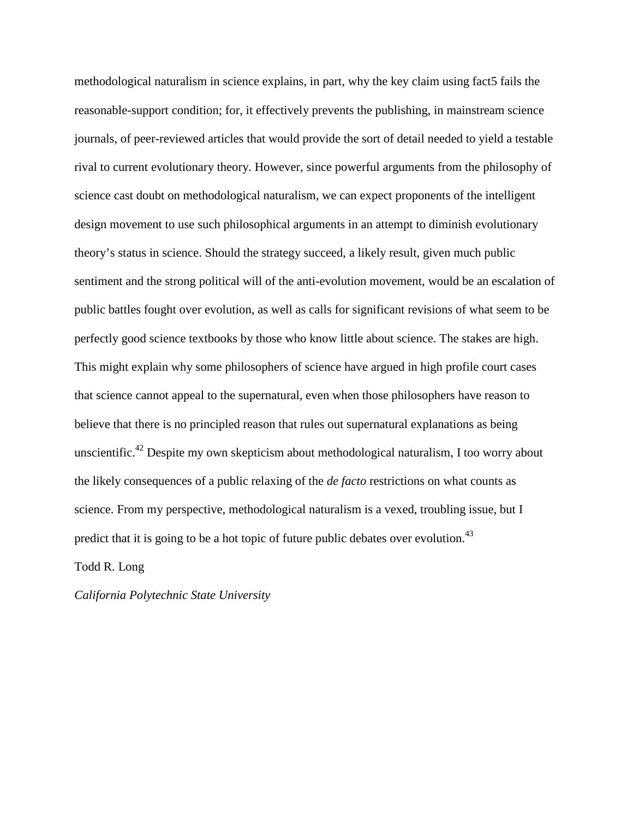methodological naturalism in science explains, in part, why the key claim using fact5 fails the reasonable-support condition; for, it effectively prevents the publishing, in mainstream science journals, of peer-reviewed articles that would provide the sort of detail needed to yield a testable rival to current evolutionary theory. However, since powerful arguments from the philosophy of science cast doubt on methodological naturalism, we can expect proponents of the intelligent design movement to use such philosophical arguments in an attempt to diminish evolutionary theory's status in science. Should the strategy succeed, a likely result, given much public sentiment and the strong political will of the anti-evolution movement, would be an escalation of public battles fought over evolution, as well as calls for significant revisions of what seem to be perfectly good science textbooks by those who know little about science. The stakes are high. This might explain why some philosophers of science have argued in high profile court cases that science cannot appeal to the supernatural, even when those philosophers have reason to believe that there is no principled reason that rules out supernatural explanations as being unscientific.<sup>42</sup> Despite my own skepticism about methodological naturalism, I too worry about the likely consequences of a public relaxing of the *de facto* restrictions on what counts as science. From my perspective, methodological naturalism is a vexed, troubling issue, but I predict that it is going to be a hot topic of future public debates over evolution.<sup>43</sup>

Todd R. Long

*California Polytechnic State University*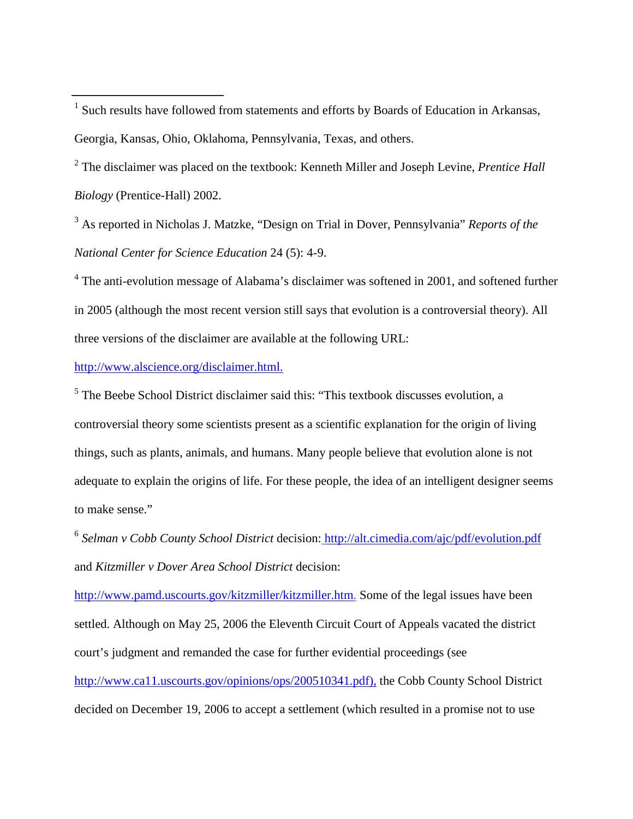$1$  Such results have followed from statements and efforts by Boards of Education in Arkansas, Georgia, Kansas, Ohio, Oklahoma, Pennsylvania, Texas, and others.

<sup>2</sup> The disclaimer was placed on the textbook: Kenneth Miller and Joseph Levine, *Prentice Hall Biology* (Prentice-Hall) 2002.

<sup>3</sup> As reported in Nicholas J. Matzke, "Design on Trial in Dover, Pennsylvania" *Reports of the National Center for Science Education* 24 (5): 4-9.

<sup>4</sup> The anti-evolution message of Alabama's disclaimer was softened in 2001, and softened further in 2005 (although the most recent version still says that evolution is a controversial theory). All three versions of the disclaimer are available at the following URL:

http://www.alscience.org/disclaimer.html.

<sup>5</sup> The Beebe School District disclaimer said this: "This textbook discusses evolution, a controversial theory some scientists present as a scientific explanation for the origin of living things, such as plants, animals, and humans. Many people believe that evolution alone is not adequate to explain the origins of life. For these people, the idea of an intelligent designer seems to make sense."

<sup>6</sup> *Selman v Cobb County School District* decision: http://alt.cimedia.com/ajc/pdf/evolution.pdf and *Kitzmiller v Dover Area School District* decision:

http://www.pamd.uscourts.gov/kitzmiller/kitzmiller.htm. Some of the legal issues have been settled. Although on May 25, 2006 the Eleventh Circuit Court of Appeals vacated the district court's judgment and remanded the case for further evidential proceedings (see

http://www.ca11.uscourts.gov/opinions/ops/200510341.pdf), the Cobb County School District decided on December 19, 2006 to accept a settlement (which resulted in a promise not to use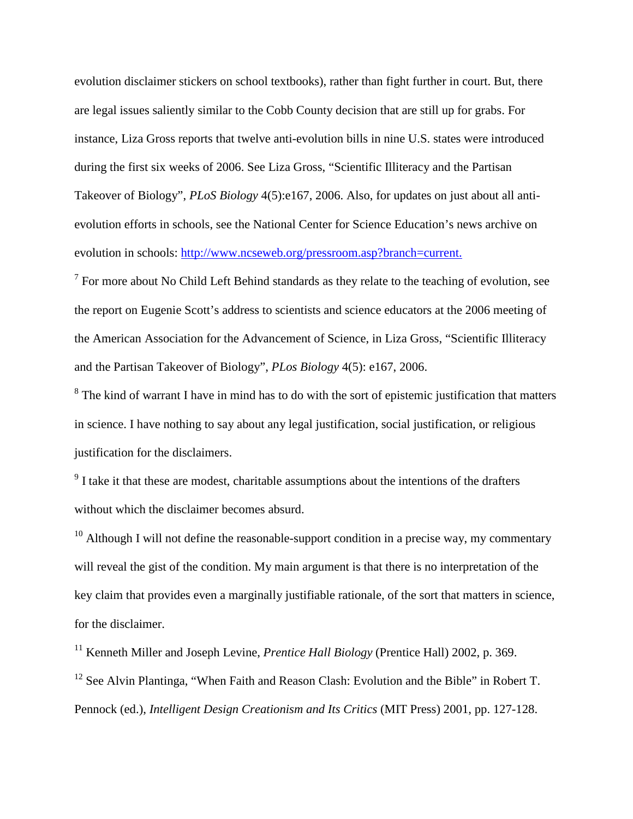evolution disclaimer stickers on school textbooks), rather than fight further in court. But, there are legal issues saliently similar to the Cobb County decision that are still up for grabs. For instance, Liza Gross reports that twelve anti-evolution bills in nine U.S. states were introduced during the first six weeks of 2006. See Liza Gross, "Scientific Illiteracy and the Partisan Takeover of Biology", *PLoS Biology* 4(5):e167, 2006. Also, for updates on just about all antievolution efforts in schools, see the National Center for Science Education's news archive on evolution in schools: http://www.ncseweb.org/pressroom.asp?branch=current.

 $<sup>7</sup>$  For more about No Child Left Behind standards as they relate to the teaching of evolution, see</sup> the report on Eugenie Scott's address to scientists and science educators at the 2006 meeting of the American Association for the Advancement of Science, in Liza Gross, "Scientific Illiteracy and the Partisan Takeover of Biology", *PLos Biology* 4(5): e167, 2006.

<sup>8</sup> The kind of warrant I have in mind has to do with the sort of epistemic justification that matters in science. I have nothing to say about any legal justification, social justification, or religious justification for the disclaimers.

<sup>9</sup> I take it that these are modest, charitable assumptions about the intentions of the drafters without which the disclaimer becomes absurd.

 $10$  Although I will not define the reasonable-support condition in a precise way, my commentary will reveal the gist of the condition. My main argument is that there is no interpretation of the key claim that provides even a marginally justifiable rationale, of the sort that matters in science, for the disclaimer.

<sup>11</sup> Kenneth Miller and Joseph Levine, *Prentice Hall Biology* (Prentice Hall) 2002, p. 369. <sup>12</sup> See Alvin Plantinga, "When Faith and Reason Clash: Evolution and the Bible" in Robert T. Pennock (ed.), *Intelligent Design Creationism and Its Critics* (MIT Press) 2001, pp. 127-128.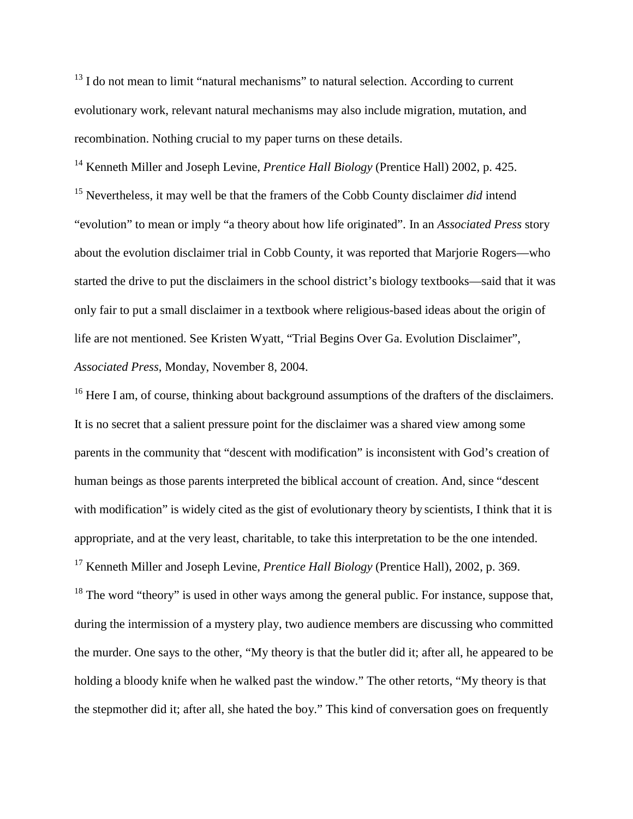<sup>13</sup> I do not mean to limit "natural mechanisms" to natural selection. According to current evolutionary work, relevant natural mechanisms may also include migration, mutation, and recombination. Nothing crucial to my paper turns on these details.

<sup>14</sup> Kenneth Miller and Joseph Levine, *Prentice Hall Biology* (Prentice Hall) 2002, p. 425. <sup>15</sup> Nevertheless, it may well be that the framers of the Cobb County disclaimer *did* intend "evolution" to mean or imply "a theory about how life originated". In an *Associated Press* story about the evolution disclaimer trial in Cobb County, it was reported that Marjorie Rogers—who started the drive to put the disclaimers in the school district's biology textbooks—said that it was only fair to put a small disclaimer in a textbook where religious-based ideas about the origin of life are not mentioned. See Kristen Wyatt, "Trial Begins Over Ga. Evolution Disclaimer", *Associated Press*, Monday, November 8, 2004.

<sup>16</sup> Here I am, of course, thinking about background assumptions of the drafters of the disclaimers. It is no secret that a salient pressure point for the disclaimer was a shared view among some parents in the community that "descent with modification" is inconsistent with God's creation of human beings as those parents interpreted the biblical account of creation. And, since "descent with modification" is widely cited as the gist of evolutionary theory by scientists, I think that it is appropriate, and at the very least, charitable, to take this interpretation to be the one intended. <sup>17</sup> Kenneth Miller and Joseph Levine, *Prentice Hall Biology* (Prentice Hall), 2002, p. 369.

 $18$  The word "theory" is used in other ways among the general public. For instance, suppose that, during the intermission of a mystery play, two audience members are discussing who committed the murder. One says to the other, "My theory is that the butler did it; after all, he appeared to be holding a bloody knife when he walked past the window." The other retorts, "My theory is that the stepmother did it; after all, she hated the boy." This kind of conversation goes on frequently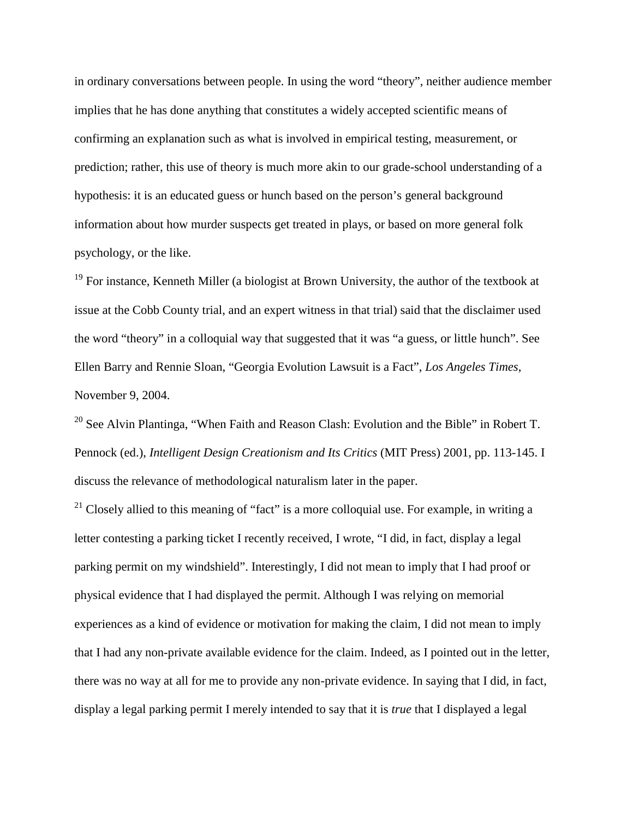in ordinary conversations between people. In using the word "theory", neither audience member implies that he has done anything that constitutes a widely accepted scientific means of confirming an explanation such as what is involved in empirical testing, measurement, or prediction; rather, this use of theory is much more akin to our grade-school understanding of a hypothesis: it is an educated guess or hunch based on the person's general background information about how murder suspects get treated in plays, or based on more general folk psychology, or the like.

 $19$  For instance, Kenneth Miller (a biologist at Brown University, the author of the textbook at issue at the Cobb County trial, and an expert witness in that trial) said that the disclaimer used the word "theory" in a colloquial way that suggested that it was "a guess, or little hunch". See Ellen Barry and Rennie Sloan, "Georgia Evolution Lawsuit is a Fact", *Los Angeles Times*, November 9, 2004.

<sup>20</sup> See Alvin Plantinga, "When Faith and Reason Clash: Evolution and the Bible" in Robert T. Pennock (ed.), *Intelligent Design Creationism and Its Critics* (MIT Press) 2001, pp. 113-145. I discuss the relevance of methodological naturalism later in the paper.

<sup>21</sup> Closely allied to this meaning of "fact" is a more colloquial use. For example, in writing a letter contesting a parking ticket I recently received, I wrote, "I did, in fact, display a legal parking permit on my windshield". Interestingly, I did not mean to imply that I had proof or physical evidence that I had displayed the permit. Although I was relying on memorial experiences as a kind of evidence or motivation for making the claim, I did not mean to imply that I had any non-private available evidence for the claim. Indeed, as I pointed out in the letter, there was no way at all for me to provide any non-private evidence. In saying that I did, in fact, display a legal parking permit I merely intended to say that it is *true* that I displayed a legal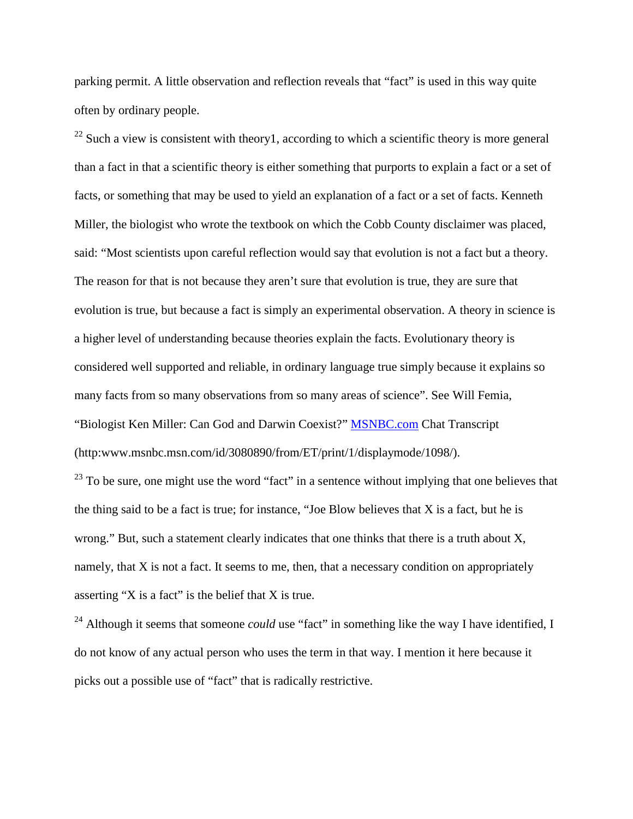parking permit. A little observation and reflection reveals that "fact" is used in this way quite often by ordinary people.

 $^{22}$  Such a view is consistent with theory1, according to which a scientific theory is more general than a fact in that a scientific theory is either something that purports to explain a fact or a set of facts, or something that may be used to yield an explanation of a fact or a set of facts. Kenneth Miller, the biologist who wrote the textbook on which the Cobb County disclaimer was placed, said: "Most scientists upon careful reflection would say that evolution is not a fact but a theory. The reason for that is not because they aren't sure that evolution is true, they are sure that evolution is true, but because a fact is simply an experimental observation. A theory in science is a higher level of understanding because theories explain the facts. Evolutionary theory is considered well supported and reliable, in ordinary language true simply because it explains so many facts from so many observations from so many areas of science". See Will Femia, "Biologist Ken Miller: Can God and Darwin Coexist?" **MSNBC.com** Chat Transcript (http:www.msnbc.msn.com/id/3080890/from/ET/print/1/displaymode/1098/).

 $^{23}$  To be sure, one might use the word "fact" in a sentence without implying that one believes that the thing said to be a fact is true; for instance, "Joe Blow believes that  $X$  is a fact, but he is wrong." But, such a statement clearly indicates that one thinks that there is a truth about X, namely, that X is not a fact. It seems to me, then, that a necessary condition on appropriately asserting "X is a fact" is the belief that X is true.

<sup>24</sup> Although it seems that someone *could* use "fact" in something like the way I have identified, I do not know of any actual person who uses the term in that way. I mention it here because it picks out a possible use of "fact" that is radically restrictive.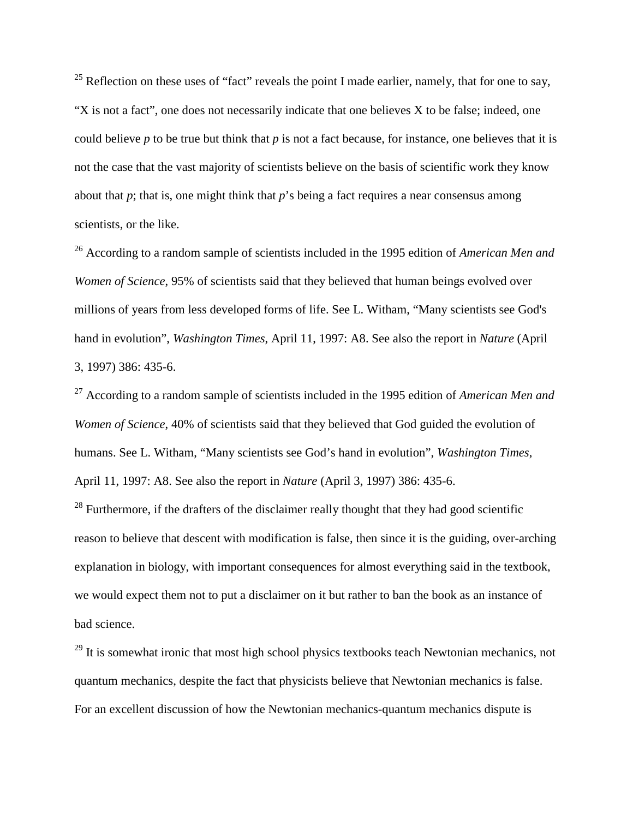<sup>25</sup> Reflection on these uses of "fact" reveals the point I made earlier, namely, that for one to say, "X is not a fact", one does not necessarily indicate that one believes X to be false; indeed, one could believe *p* to be true but think that *p* is not a fact because, for instance, one believes that it is not the case that the vast majority of scientists believe on the basis of scientific work they know about that  $p$ ; that is, one might think that  $p$ 's being a fact requires a near consensus among scientists, or the like.

<sup>26</sup> According to a random sample of scientists included in the 1995 edition of *American Men and Women of Science*, 95% of scientists said that they believed that human beings evolved over millions of years from less developed forms of life. See L. Witham, "Many scientists see God's hand in evolution", *Washington Times*, April 11, 1997: A8. See also the report in *Nature* (April 3, 1997) 386: 435-6.

<sup>27</sup> According to a random sample of scientists included in the 1995 edition of *American Men and Women of Science*, 40% of scientists said that they believed that God guided the evolution of humans. See L. Witham, "Many scientists see God's hand in evolution", *Washington Times*, April 11, 1997: A8. See also the report in *Nature* (April 3, 1997) 386: 435-6.

 $28$  Furthermore, if the drafters of the disclaimer really thought that they had good scientific reason to believe that descent with modification is false, then since it is the guiding, over-arching explanation in biology, with important consequences for almost everything said in the textbook, we would expect them not to put a disclaimer on it but rather to ban the book as an instance of bad science.

 $^{29}$  It is somewhat ironic that most high school physics textbooks teach Newtonian mechanics, not quantum mechanics, despite the fact that physicists believe that Newtonian mechanics is false. For an excellent discussion of how the Newtonian mechanics-quantum mechanics dispute is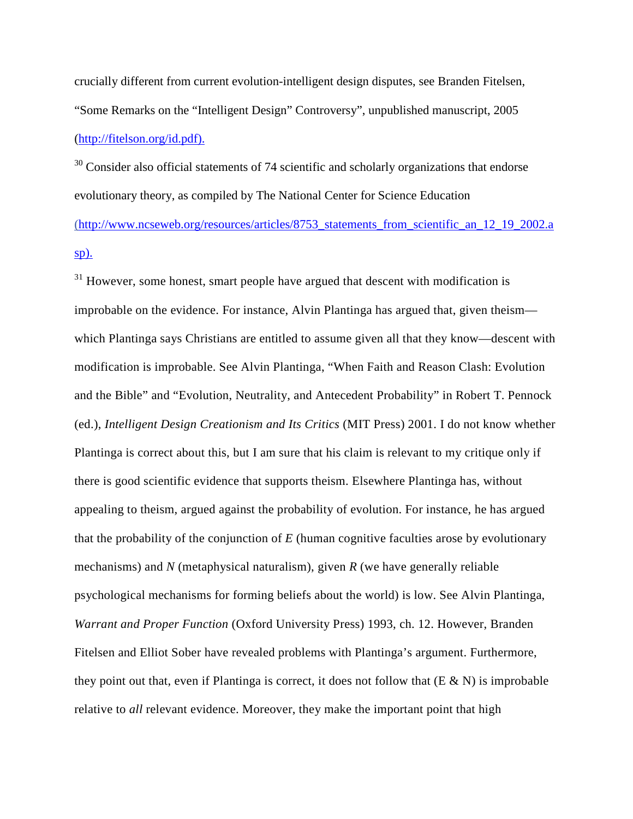crucially different from current evolution-intelligent design disputes, see Branden Fitelsen, "Some Remarks on the "Intelligent Design" Controversy", unpublished manuscript, 2005 (http://fitelson.org/id.pdf).

 $30$  Consider also official statements of 74 scientific and scholarly organizations that endorse evolutionary theory, as compiled by The National Center for Science Education (http://www.ncseweb.org/resources/articles/8753\_statements\_from\_scientific\_an\_12\_19\_2002.a sp).

 $31$  However, some honest, smart people have argued that descent with modification is improbable on the evidence. For instance, Alvin Plantinga has argued that, given theism which Plantinga says Christians are entitled to assume given all that they know—descent with modification is improbable. See Alvin Plantinga, "When Faith and Reason Clash: Evolution and the Bible" and "Evolution, Neutrality, and Antecedent Probability" in Robert T. Pennock (ed.), *Intelligent Design Creationism and Its Critics* (MIT Press) 2001. I do not know whether Plantinga is correct about this, but I am sure that his claim is relevant to my critique only if there is good scientific evidence that supports theism. Elsewhere Plantinga has, without appealing to theism, argued against the probability of evolution. For instance, he has argued that the probability of the conjunction of *E* (human cognitive faculties arose by evolutionary mechanisms) and *N* (metaphysical naturalism), given *R* (we have generally reliable psychological mechanisms for forming beliefs about the world) is low. See Alvin Plantinga, *Warrant and Proper Function* (Oxford University Press) 1993, ch. 12. However, Branden Fitelsen and Elliot Sober have revealed problems with Plantinga's argument. Furthermore, they point out that, even if Plantinga is correct, it does not follow that  $(E \& N)$  is improbable relative to *all* relevant evidence. Moreover, they make the important point that high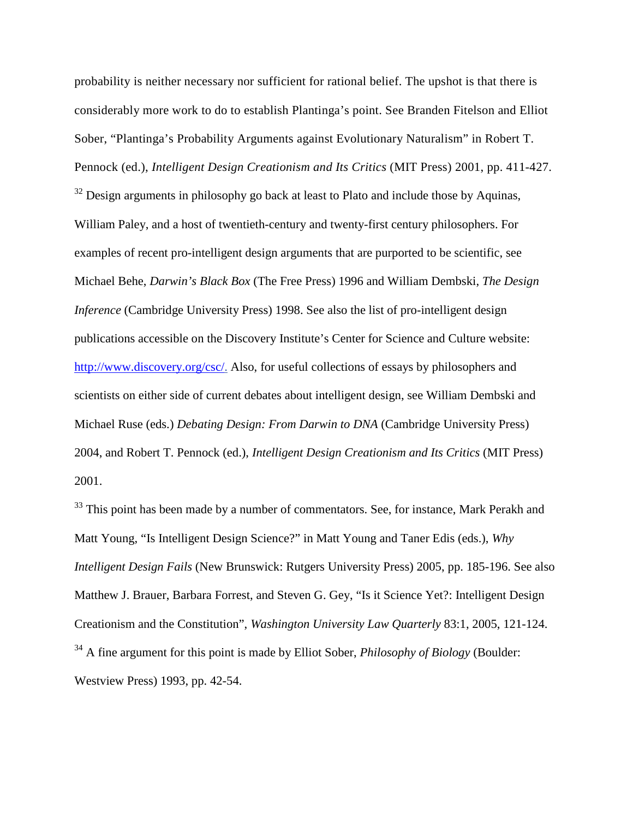probability is neither necessary nor sufficient for rational belief. The upshot is that there is considerably more work to do to establish Plantinga's point. See Branden Fitelson and Elliot Sober, "Plantinga's Probability Arguments against Evolutionary Naturalism" in Robert T. Pennock (ed.), *Intelligent Design Creationism and Its Critics* (MIT Press) 2001, pp. 411-427.  $32$  Design arguments in philosophy go back at least to Plato and include those by Aquinas, William Paley, and a host of twentieth-century and twenty-first century philosophers. For examples of recent pro-intelligent design arguments that are purported to be scientific, see Michael Behe, *Darwin's Black Box* (The Free Press) 1996 and William Dembski, *The Design Inference* (Cambridge University Press) 1998. See also the list of pro-intelligent design publications accessible on the Discovery Institute's Center for Science and Culture website: http://www.discovery.org/csc/. Also, for useful collections of essays by philosophers and scientists on either side of current debates about intelligent design, see William Dembski and Michael Ruse (eds.) *Debating Design: From Darwin to DNA* (Cambridge University Press) 2004, and Robert T. Pennock (ed.), *Intelligent Design Creationism and Its Critics* (MIT Press) 2001.

<sup>33</sup> This point has been made by a number of commentators. See, for instance, Mark Perakh and Matt Young, "Is Intelligent Design Science?" in Matt Young and Taner Edis (eds.), *Why Intelligent Design Fails* (New Brunswick: Rutgers University Press) 2005, pp. 185-196. See also Matthew J. Brauer, Barbara Forrest, and Steven G. Gey, "Is it Science Yet?: Intelligent Design Creationism and the Constitution", *Washington University Law Quarterly* 83:1, 2005, 121-124. <sup>34</sup> A fine argument for this point is made by Elliot Sober, *Philosophy of Biology* (Boulder: Westview Press) 1993, pp. 42-54.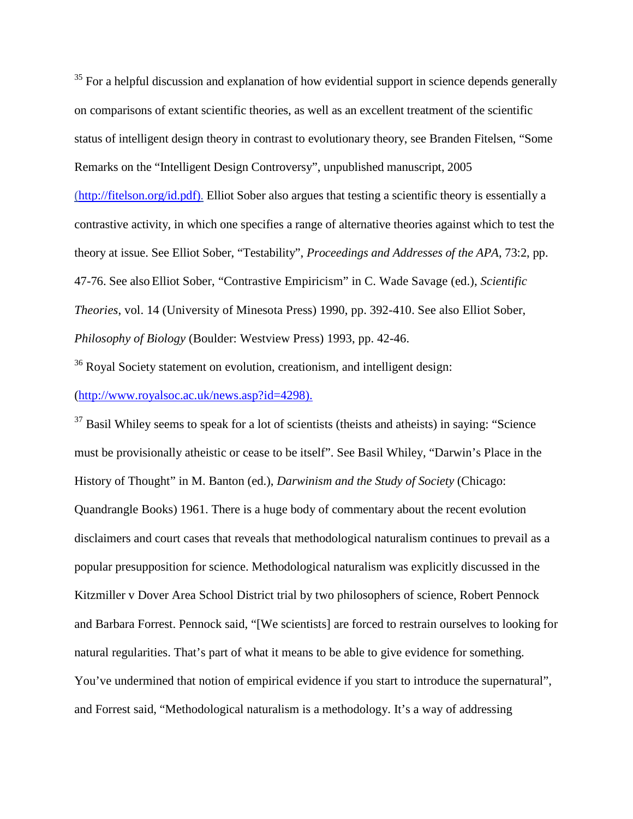$35$  For a helpful discussion and explanation of how evidential support in science depends generally on comparisons of extant scientific theories, as well as an excellent treatment of the scientific status of intelligent design theory in contrast to evolutionary theory, see Branden Fitelsen, "Some Remarks on the "Intelligent Design Controversy", unpublished manuscript, 2005 (http://fitelson.org/id.pdf). Elliot Sober also argues that testing a scientific theory is essentially a contrastive activity, in which one specifies a range of alternative theories against which to test the theory at issue. See Elliot Sober, "Testability", *Proceedings and Addresses of the APA*, 73:2, pp. 47-76. See also Elliot Sober, "Contrastive Empiricism" in C. Wade Savage (ed.), *Scientific Theories*, vol. 14 (University of Minesota Press) 1990, pp. 392-410. See also Elliot Sober, *Philosophy of Biology* (Boulder: Westview Press) 1993, pp. 42-46.

<sup>36</sup> Royal Society statement on evolution, creationism, and intelligent design:

(http://www.royalsoc.ac.uk/news.asp?id=4298).

 $37$  Basil Whiley seems to speak for a lot of scientists (theists and atheists) in saying: "Science must be provisionally atheistic or cease to be itself". See Basil Whiley, "Darwin's Place in the History of Thought" in M. Banton (ed.), *Darwinism and the Study of Society* (Chicago: Quandrangle Books) 1961. There is a huge body of commentary about the recent evolution disclaimers and court cases that reveals that methodological naturalism continues to prevail as a popular presupposition for science. Methodological naturalism was explicitly discussed in the Kitzmiller v Dover Area School District trial by two philosophers of science, Robert Pennock and Barbara Forrest. Pennock said, "[We scientists] are forced to restrain ourselves to looking for natural regularities. That's part of what it means to be able to give evidence for something. You've undermined that notion of empirical evidence if you start to introduce the supernatural", and Forrest said, "Methodological naturalism is a methodology. It's a way of addressing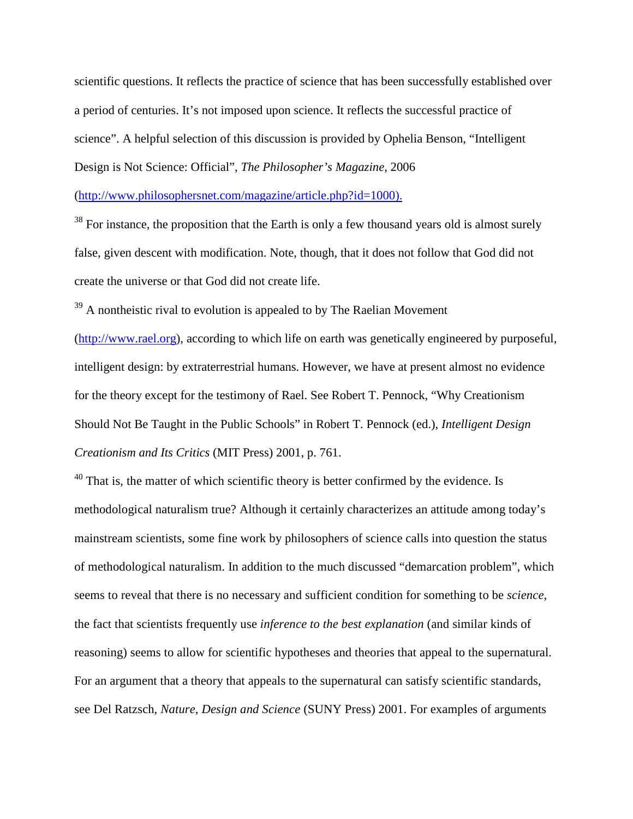scientific questions. It reflects the practice of science that has been successfully established over a period of centuries. It's not imposed upon science. It reflects the successful practice of science". A helpful selection of this discussion is provided by Ophelia Benson, "Intelligent Design is Not Science: Official", *The Philosopher's Magazine*, 2006

(http://www.philosophersnet.com/magazine/article.php?id=1000).

 $38$  For instance, the proposition that the Earth is only a few thousand years old is almost surely false, given descent with modification. Note, though, that it does not follow that God did not create the universe or that God did not create life.

 $39$  A nontheistic rival to evolution is appealed to by The Raelian Movement

(http://www.rael.org), according to which life on earth was genetically engineered by purposeful, intelligent design: by extraterrestrial humans. However, we have at present almost no evidence for the theory except for the testimony of Rael. See Robert T. Pennock, "Why Creationism Should Not Be Taught in the Public Schools" in Robert T. Pennock (ed.), *Intelligent Design Creationism and Its Critics* (MIT Press) 2001, p. 761.

 $40$  That is, the matter of which scientific theory is better confirmed by the evidence. Is methodological naturalism true? Although it certainly characterizes an attitude among today's mainstream scientists, some fine work by philosophers of science calls into question the status of methodological naturalism. In addition to the much discussed "demarcation problem", which seems to reveal that there is no necessary and sufficient condition for something to be *science*, the fact that scientists frequently use *inference to the best explanation* (and similar kinds of reasoning) seems to allow for scientific hypotheses and theories that appeal to the supernatural. For an argument that a theory that appeals to the supernatural can satisfy scientific standards, see Del Ratzsch, *Nature, Design and Science* (SUNY Press) 2001. For examples of arguments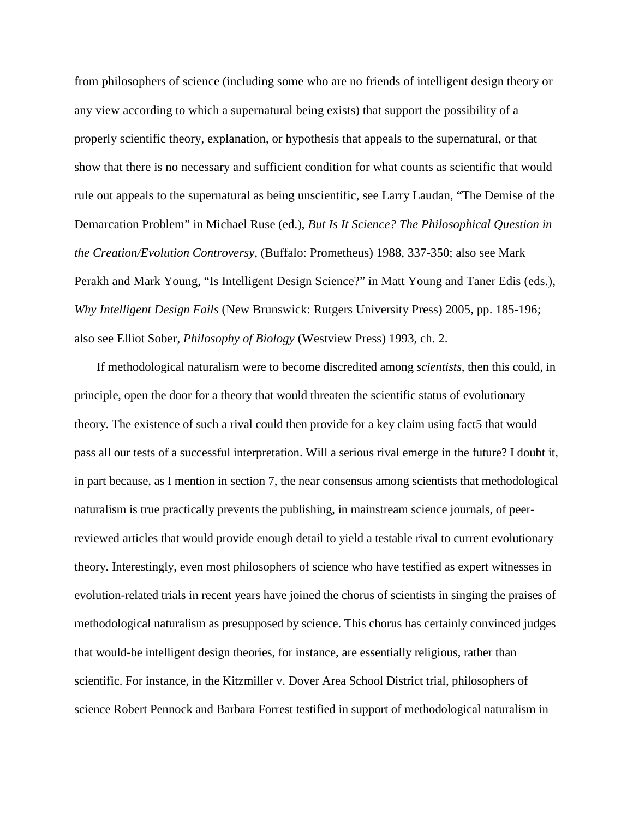from philosophers of science (including some who are no friends of intelligent design theory or any view according to which a supernatural being exists) that support the possibility of a properly scientific theory, explanation, or hypothesis that appeals to the supernatural, or that show that there is no necessary and sufficient condition for what counts as scientific that would rule out appeals to the supernatural as being unscientific, see Larry Laudan, "The Demise of the Demarcation Problem" in Michael Ruse (ed.), *But Is It Science? The Philosophical Question in the Creation/Evolution Controversy*, (Buffalo: Prometheus) 1988, 337-350; also see Mark Perakh and Mark Young, "Is Intelligent Design Science?" in Matt Young and Taner Edis (eds.), *Why Intelligent Design Fails* (New Brunswick: Rutgers University Press) 2005, pp. 185-196; also see Elliot Sober, *Philosophy of Biology* (Westview Press) 1993, ch. 2.

If methodological naturalism were to become discredited among *scientists*, then this could, in principle, open the door for a theory that would threaten the scientific status of evolutionary theory. The existence of such a rival could then provide for a key claim using fact5 that would pass all our tests of a successful interpretation. Will a serious rival emerge in the future? I doubt it, in part because, as I mention in section 7, the near consensus among scientists that methodological naturalism is true practically prevents the publishing, in mainstream science journals, of peerreviewed articles that would provide enough detail to yield a testable rival to current evolutionary theory. Interestingly, even most philosophers of science who have testified as expert witnesses in evolution-related trials in recent years have joined the chorus of scientists in singing the praises of methodological naturalism as presupposed by science. This chorus has certainly convinced judges that would-be intelligent design theories, for instance, are essentially religious, rather than scientific. For instance, in the Kitzmiller v. Dover Area School District trial, philosophers of science Robert Pennock and Barbara Forrest testified in support of methodological naturalism in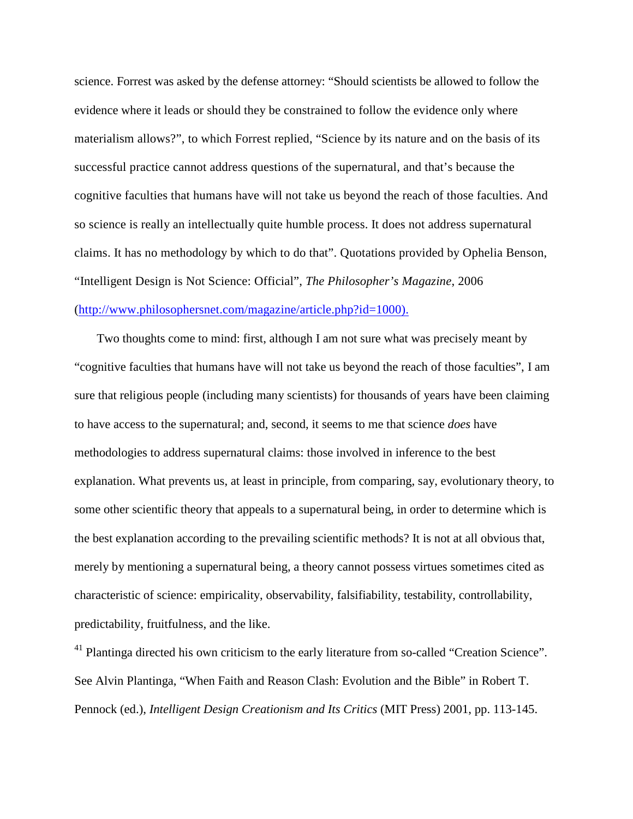science. Forrest was asked by the defense attorney: "Should scientists be allowed to follow the evidence where it leads or should they be constrained to follow the evidence only where materialism allows?", to which Forrest replied, "Science by its nature and on the basis of its successful practice cannot address questions of the supernatural, and that's because the cognitive faculties that humans have will not take us beyond the reach of those faculties. And so science is really an intellectually quite humble process. It does not address supernatural claims. It has no methodology by which to do that". Quotations provided by Ophelia Benson, "Intelligent Design is Not Science: Official", *The Philosopher's Magazine*, 2006 (http://www.philosophersnet.com/magazine/article.php?id=1000).

Two thoughts come to mind: first, although I am not sure what was precisely meant by "cognitive faculties that humans have will not take us beyond the reach of those faculties", I am sure that religious people (including many scientists) for thousands of years have been claiming to have access to the supernatural; and, second, it seems to me that science *does* have methodologies to address supernatural claims: those involved in inference to the best explanation. What prevents us, at least in principle, from comparing, say, evolutionary theory, to some other scientific theory that appeals to a supernatural being, in order to determine which is the best explanation according to the prevailing scientific methods? It is not at all obvious that, merely by mentioning a supernatural being, a theory cannot possess virtues sometimes cited as characteristic of science: empiricality, observability, falsifiability, testability, controllability, predictability, fruitfulness, and the like.

 $41$  Plantinga directed his own criticism to the early literature from so-called "Creation Science". See Alvin Plantinga, "When Faith and Reason Clash: Evolution and the Bible" in Robert T. Pennock (ed.), *Intelligent Design Creationism and Its Critics* (MIT Press) 2001, pp. 113-145.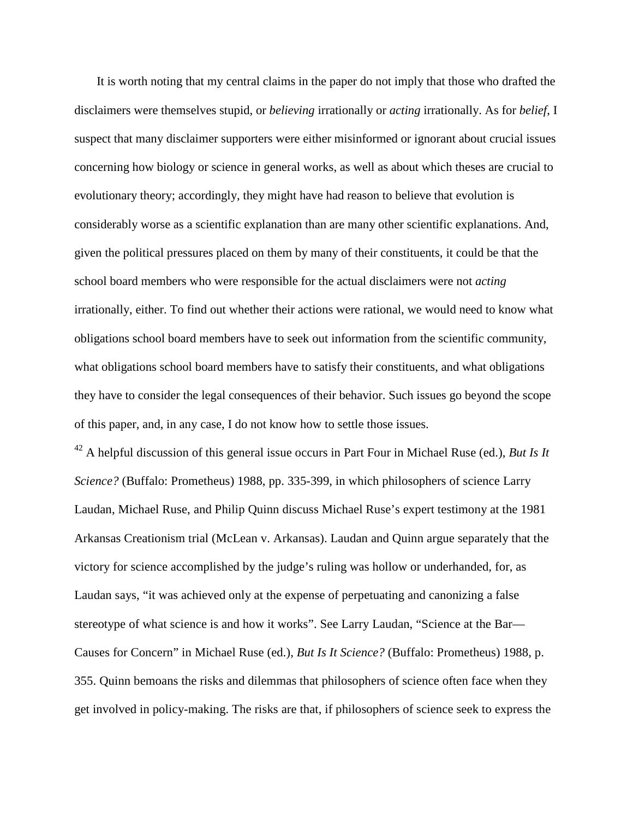It is worth noting that my central claims in the paper do not imply that those who drafted the disclaimers were themselves stupid, or *believing* irrationally or *acting* irrationally. As for *belief*, I suspect that many disclaimer supporters were either misinformed or ignorant about crucial issues concerning how biology or science in general works, as well as about which theses are crucial to evolutionary theory; accordingly, they might have had reason to believe that evolution is considerably worse as a scientific explanation than are many other scientific explanations. And, given the political pressures placed on them by many of their constituents, it could be that the school board members who were responsible for the actual disclaimers were not *acting*  irrationally, either. To find out whether their actions were rational, we would need to know what obligations school board members have to seek out information from the scientific community, what obligations school board members have to satisfy their constituents, and what obligations they have to consider the legal consequences of their behavior. Such issues go beyond the scope of this paper, and, in any case, I do not know how to settle those issues.

 $^{42}$  A helpful discussion of this general issue occurs in Part Four in Michael Ruse (ed.), *But Is It Science?* (Buffalo: Prometheus) 1988, pp. 335-399, in which philosophers of science Larry Laudan, Michael Ruse, and Philip Quinn discuss Michael Ruse's expert testimony at the 1981 Arkansas Creationism trial (McLean v. Arkansas). Laudan and Quinn argue separately that the victory for science accomplished by the judge's ruling was hollow or underhanded, for, as Laudan says, "it was achieved only at the expense of perpetuating and canonizing a false stereotype of what science is and how it works". See Larry Laudan, "Science at the Bar— Causes for Concern" in Michael Ruse (ed.), *But Is It Science?* (Buffalo: Prometheus) 1988, p. 355. Quinn bemoans the risks and dilemmas that philosophers of science often face when they get involved in policy-making. The risks are that, if philosophers of science seek to express the